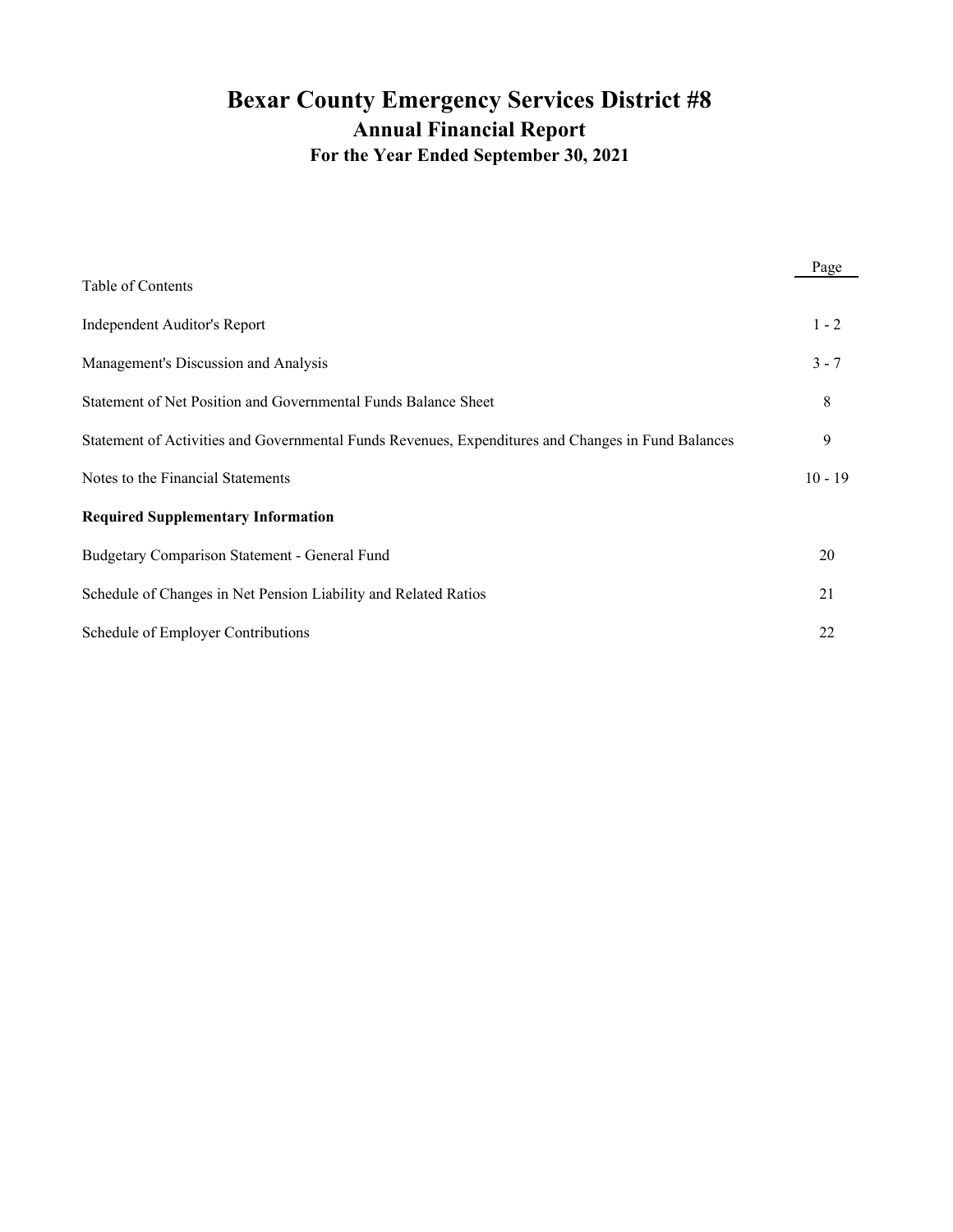# **Bexar County Emergency Services District #8 Annual Financial Report For the Year Ended September 30, 2021**

|                                                                                                    | Page      |
|----------------------------------------------------------------------------------------------------|-----------|
| Table of Contents                                                                                  |           |
| Independent Auditor's Report                                                                       | $1 - 2$   |
| Management's Discussion and Analysis                                                               | $3 - 7$   |
| Statement of Net Position and Governmental Funds Balance Sheet                                     | 8         |
| Statement of Activities and Governmental Funds Revenues, Expenditures and Changes in Fund Balances | 9         |
| Notes to the Financial Statements                                                                  | $10 - 19$ |
| <b>Required Supplementary Information</b>                                                          |           |
| Budgetary Comparison Statement - General Fund                                                      | 20        |
| Schedule of Changes in Net Pension Liability and Related Ratios                                    | 21        |
| Schedule of Employer Contributions                                                                 | 22        |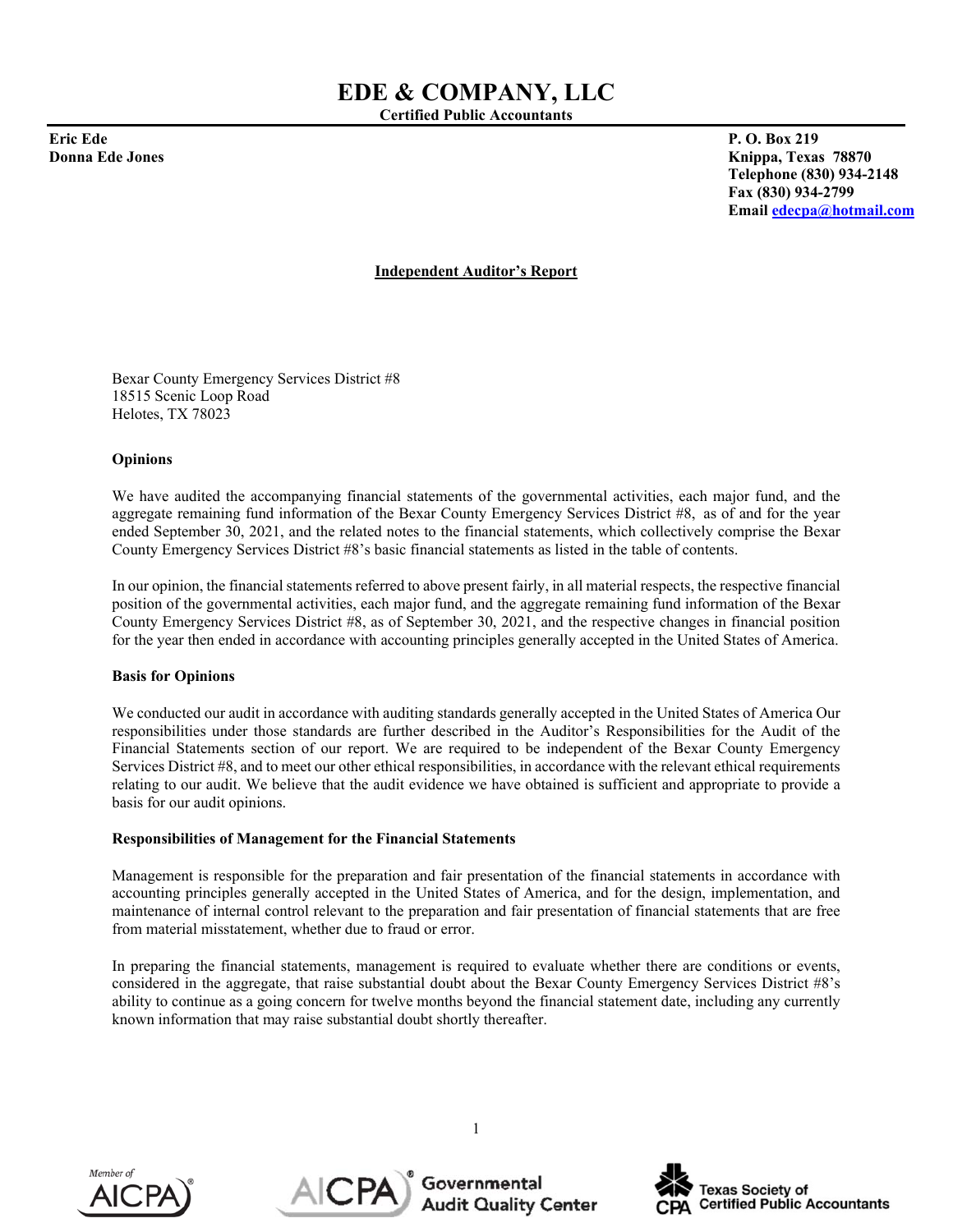**Certified Public Accountants** 

**Eric Ede** P.O. Box 219

**Donna Ede Jones Knippa, Texas 78870 Telephone (830) 934-2148 Fax (830) 934-2799 Email edecpa@hotmail.com**

### **Independent Auditor's Report**

Bexar County Emergency Services District #8 18515 Scenic Loop Road Helotes, TX 78023

### **Opinions**

We have audited the accompanying financial statements of the governmental activities, each major fund, and the aggregate remaining fund information of the Bexar County Emergency Services District #8, as of and for the year ended September 30, 2021, and the related notes to the financial statements, which collectively comprise the Bexar County Emergency Services District #8's basic financial statements as listed in the table of contents.

In our opinion, the financial statements referred to above present fairly, in all material respects, the respective financial position of the governmental activities, each major fund, and the aggregate remaining fund information of the Bexar County Emergency Services District #8, as of September 30, 2021, and the respective changes in financial position for the year then ended in accordance with accounting principles generally accepted in the United States of America.

### **Basis for Opinions**

We conducted our audit in accordance with auditing standards generally accepted in the United States of America Our responsibilities under those standards are further described in the Auditor's Responsibilities for the Audit of the Financial Statements section of our report. We are required to be independent of the Bexar County Emergency Services District #8, and to meet our other ethical responsibilities, in accordance with the relevant ethical requirements relating to our audit. We believe that the audit evidence we have obtained is sufficient and appropriate to provide a basis for our audit opinions.

### **Responsibilities of Management for the Financial Statements**

Management is responsible for the preparation and fair presentation of the financial statements in accordance with accounting principles generally accepted in the United States of America, and for the design, implementation, and maintenance of internal control relevant to the preparation and fair presentation of financial statements that are free from material misstatement, whether due to fraud or error.

In preparing the financial statements, management is required to evaluate whether there are conditions or events, considered in the aggregate, that raise substantial doubt about the Bexar County Emergency Services District #8's ability to continue as a going concern for twelve months beyond the financial statement date, including any currently known information that may raise substantial doubt shortly thereafter.

1





### Governmental **Audit Quality Center**

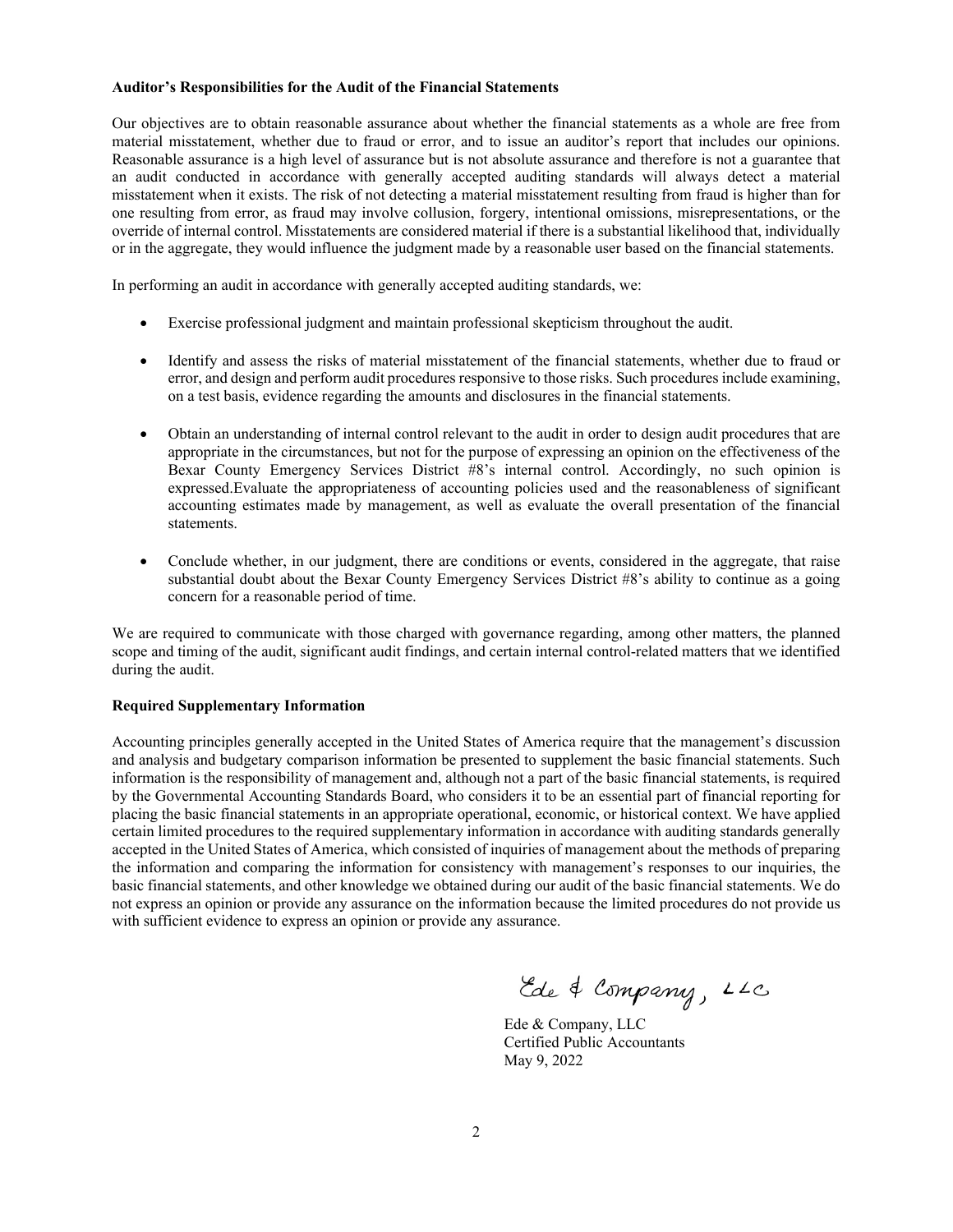#### **Auditor's Responsibilities for the Audit of the Financial Statements**

Our objectives are to obtain reasonable assurance about whether the financial statements as a whole are free from material misstatement, whether due to fraud or error, and to issue an auditor's report that includes our opinions. Reasonable assurance is a high level of assurance but is not absolute assurance and therefore is not a guarantee that an audit conducted in accordance with generally accepted auditing standards will always detect a material misstatement when it exists. The risk of not detecting a material misstatement resulting from fraud is higher than for one resulting from error, as fraud may involve collusion, forgery, intentional omissions, misrepresentations, or the override of internal control. Misstatements are considered material if there is a substantial likelihood that, individually or in the aggregate, they would influence the judgment made by a reasonable user based on the financial statements.

In performing an audit in accordance with generally accepted auditing standards, we:

- Exercise professional judgment and maintain professional skepticism throughout the audit.
- Identify and assess the risks of material misstatement of the financial statements, whether due to fraud or error, and design and perform audit procedures responsive to those risks. Such procedures include examining, on a test basis, evidence regarding the amounts and disclosures in the financial statements.
- Obtain an understanding of internal control relevant to the audit in order to design audit procedures that are appropriate in the circumstances, but not for the purpose of expressing an opinion on the effectiveness of the Bexar County Emergency Services District #8's internal control. Accordingly, no such opinion is expressed.Evaluate the appropriateness of accounting policies used and the reasonableness of significant accounting estimates made by management, as well as evaluate the overall presentation of the financial statements.
- Conclude whether, in our judgment, there are conditions or events, considered in the aggregate, that raise substantial doubt about the Bexar County Emergency Services District #8's ability to continue as a going concern for a reasonable period of time.

We are required to communicate with those charged with governance regarding, among other matters, the planned scope and timing of the audit, significant audit findings, and certain internal control-related matters that we identified during the audit.

#### **Required Supplementary Information**

Accounting principles generally accepted in the United States of America require that the management's discussion and analysis and budgetary comparison information be presented to supplement the basic financial statements. Such information is the responsibility of management and, although not a part of the basic financial statements, is required by the Governmental Accounting Standards Board, who considers it to be an essential part of financial reporting for placing the basic financial statements in an appropriate operational, economic, or historical context. We have applied certain limited procedures to the required supplementary information in accordance with auditing standards generally accepted in the United States of America, which consisted of inquiries of management about the methods of preparing the information and comparing the information for consistency with management's responses to our inquiries, the basic financial statements, and other knowledge we obtained during our audit of the basic financial statements. We do not express an opinion or provide any assurance on the information because the limited procedures do not provide us with sufficient evidence to express an opinion or provide any assurance.

Ede & Company, LLC

 Ede & Company, LLC Certified Public Accountants May 9, 2022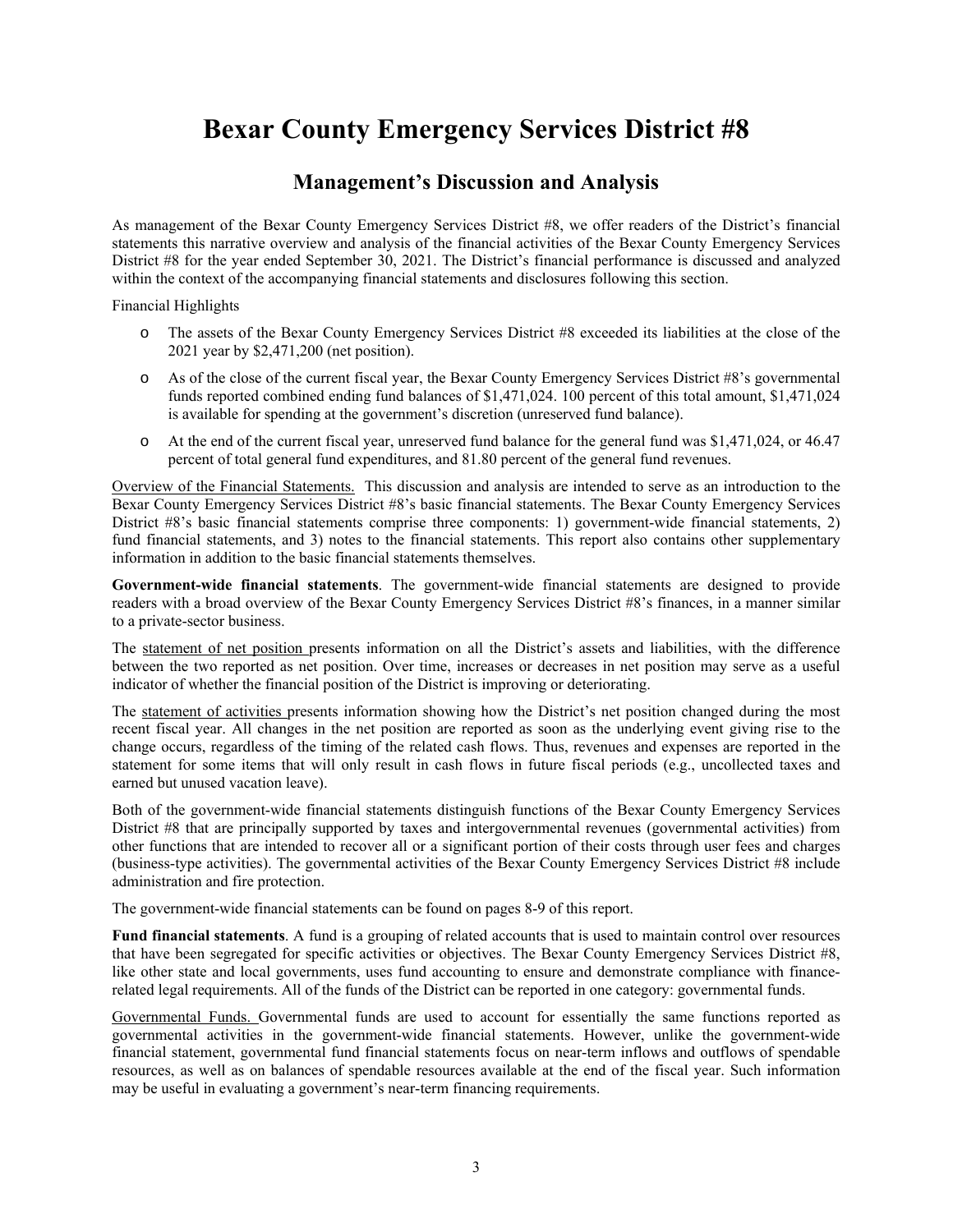# **Bexar County Emergency Services District #8**

### **Management's Discussion and Analysis**

As management of the Bexar County Emergency Services District #8, we offer readers of the District's financial statements this narrative overview and analysis of the financial activities of the Bexar County Emergency Services District #8 for the year ended September 30, 2021. The District's financial performance is discussed and analyzed within the context of the accompanying financial statements and disclosures following this section.

Financial Highlights

- o The assets of the Bexar County Emergency Services District #8 exceeded its liabilities at the close of the 2021 year by \$2,471,200 (net position).
- o As of the close of the current fiscal year, the Bexar County Emergency Services District #8's governmental funds reported combined ending fund balances of \$1,471,024. 100 percent of this total amount, \$1,471,024 is available for spending at the government's discretion (unreserved fund balance).
- o At the end of the current fiscal year, unreserved fund balance for the general fund was \$1,471,024, or 46.47 percent of total general fund expenditures, and 81.80 percent of the general fund revenues.

Overview of the Financial Statements. This discussion and analysis are intended to serve as an introduction to the Bexar County Emergency Services District #8's basic financial statements. The Bexar County Emergency Services District #8's basic financial statements comprise three components: 1) government-wide financial statements, 2) fund financial statements, and 3) notes to the financial statements. This report also contains other supplementary information in addition to the basic financial statements themselves.

**Government-wide financial statements**. The government-wide financial statements are designed to provide readers with a broad overview of the Bexar County Emergency Services District #8's finances, in a manner similar to a private-sector business.

The statement of net position presents information on all the District's assets and liabilities, with the difference between the two reported as net position. Over time, increases or decreases in net position may serve as a useful indicator of whether the financial position of the District is improving or deteriorating.

The statement of activities presents information showing how the District's net position changed during the most recent fiscal year. All changes in the net position are reported as soon as the underlying event giving rise to the change occurs, regardless of the timing of the related cash flows. Thus, revenues and expenses are reported in the statement for some items that will only result in cash flows in future fiscal periods (e.g., uncollected taxes and earned but unused vacation leave).

Both of the government-wide financial statements distinguish functions of the Bexar County Emergency Services District #8 that are principally supported by taxes and intergovernmental revenues (governmental activities) from other functions that are intended to recover all or a significant portion of their costs through user fees and charges (business-type activities). The governmental activities of the Bexar County Emergency Services District #8 include administration and fire protection.

The government-wide financial statements can be found on pages 8-9 of this report.

**Fund financial statements**. A fund is a grouping of related accounts that is used to maintain control over resources that have been segregated for specific activities or objectives. The Bexar County Emergency Services District #8, like other state and local governments, uses fund accounting to ensure and demonstrate compliance with financerelated legal requirements. All of the funds of the District can be reported in one category: governmental funds.

Governmental Funds. Governmental funds are used to account for essentially the same functions reported as governmental activities in the government-wide financial statements. However, unlike the government-wide financial statement, governmental fund financial statements focus on near-term inflows and outflows of spendable resources, as well as on balances of spendable resources available at the end of the fiscal year. Such information may be useful in evaluating a government's near-term financing requirements.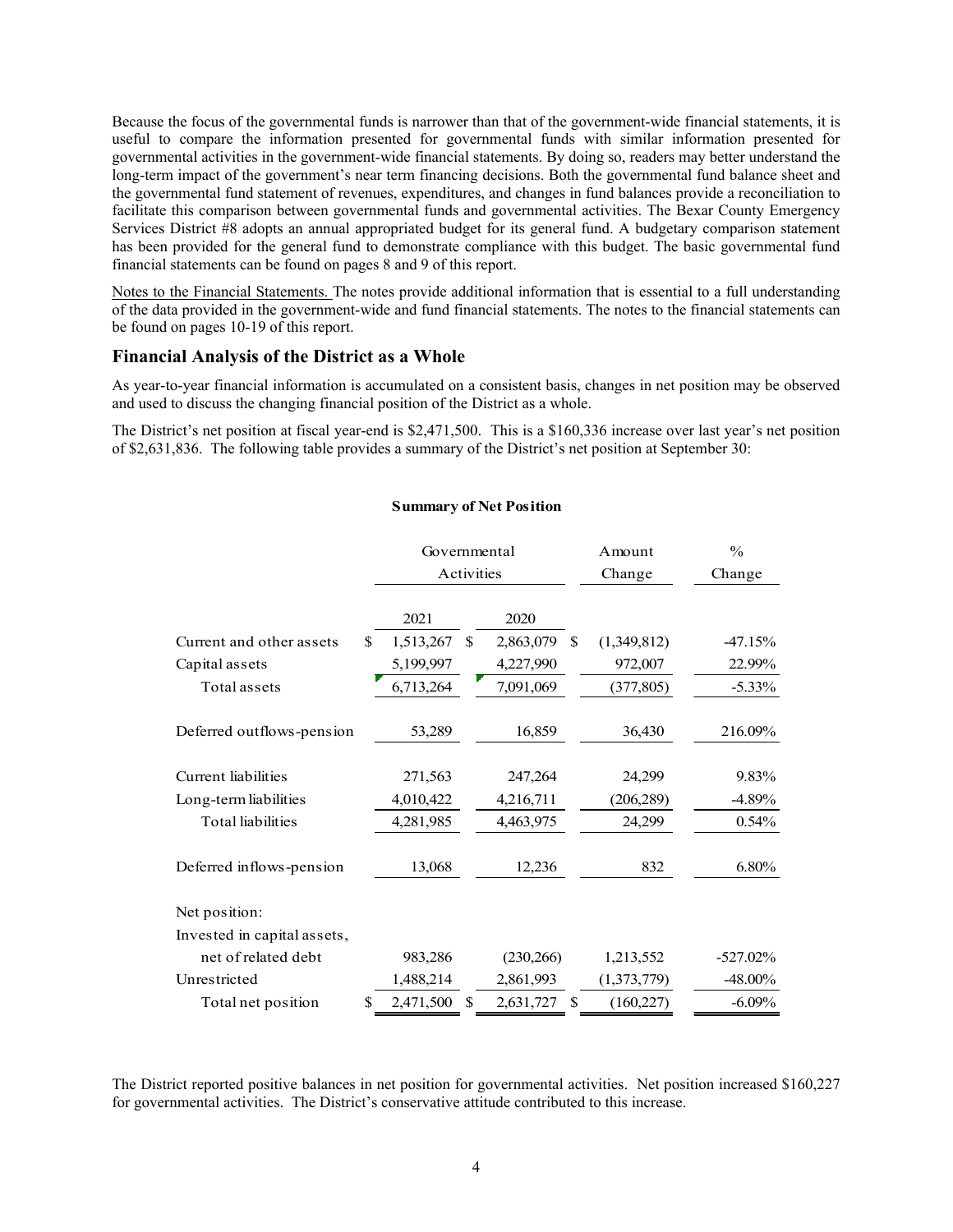Because the focus of the governmental funds is narrower than that of the government-wide financial statements, it is useful to compare the information presented for governmental funds with similar information presented for governmental activities in the government-wide financial statements. By doing so, readers may better understand the long-term impact of the government's near term financing decisions. Both the governmental fund balance sheet and the governmental fund statement of revenues, expenditures, and changes in fund balances provide a reconciliation to facilitate this comparison between governmental funds and governmental activities. The Bexar County Emergency Services District #8 adopts an annual appropriated budget for its general fund. A budgetary comparison statement has been provided for the general fund to demonstrate compliance with this budget. The basic governmental fund financial statements can be found on pages 8 and 9 of this report.

Notes to the Financial Statements. The notes provide additional information that is essential to a full understanding of the data provided in the government-wide and fund financial statements. The notes to the financial statements can be found on pages 10-19 of this report.

### **Financial Analysis of the District as a Whole**

As year-to-year financial information is accumulated on a consistent basis, changes in net position may be observed and used to discuss the changing financial position of the District as a whole.

The District's net position at fiscal year-end is \$2,471,500. This is a \$160,336 increase over last year's net position of \$2,631,836. The following table provides a summary of the District's net position at September 30:

#### **Summary of Net Position**

|                             |                 | Governmental    |               | Amount      | $\frac{0}{0}$ |
|-----------------------------|-----------------|-----------------|---------------|-------------|---------------|
|                             |                 | Activities      |               | Change      | Change        |
|                             | 2021            | 2020            |               |             |               |
| Current and other assets    | \$<br>1,513,267 | \$<br>2,863,079 | <sup>\$</sup> | (1,349,812) | $-47.15%$     |
| Capital assets              | 5,199,997       | 4,227,990       |               | 972,007     | 22.99%        |
| Total assets                | 6,713,264       | 7,091,069       |               | (377, 805)  | $-5.33\%$     |
| Deferred outflows-pension   | 53,289          | 16,859          |               | 36,430      | 216.09%       |
| Current liabilities         | 271,563         | 247,264         |               | 24,299      | 9.83%         |
| Long-term liabilities       | 4,010,422       | 4,216,711       |               | (206, 289)  | $-4.89%$      |
| <b>Total liabilities</b>    | 4,281,985       | 4,463,975       |               | 24,299      | $0.54\%$      |
| Deferred inflows-pension    | 13,068          | 12,236          |               | 832         | $6.80\%$      |
| Net position:               |                 |                 |               |             |               |
| Invested in capital assets, |                 |                 |               |             |               |
| net of related debt         | 983,286         | (230, 266)      |               | 1,213,552   | $-527.02\%$   |
| Unrestricted                | 1,488,214       | 2,861,993       |               | (1,373,779) | $-48.00\%$    |
| Total net position          | \$<br>2,471,500 | \$<br>2,631,727 | \$            | (160, 227)  | $-6.09%$      |

The District reported positive balances in net position for governmental activities. Net position increased \$160,227 for governmental activities. The District's conservative attitude contributed to this increase.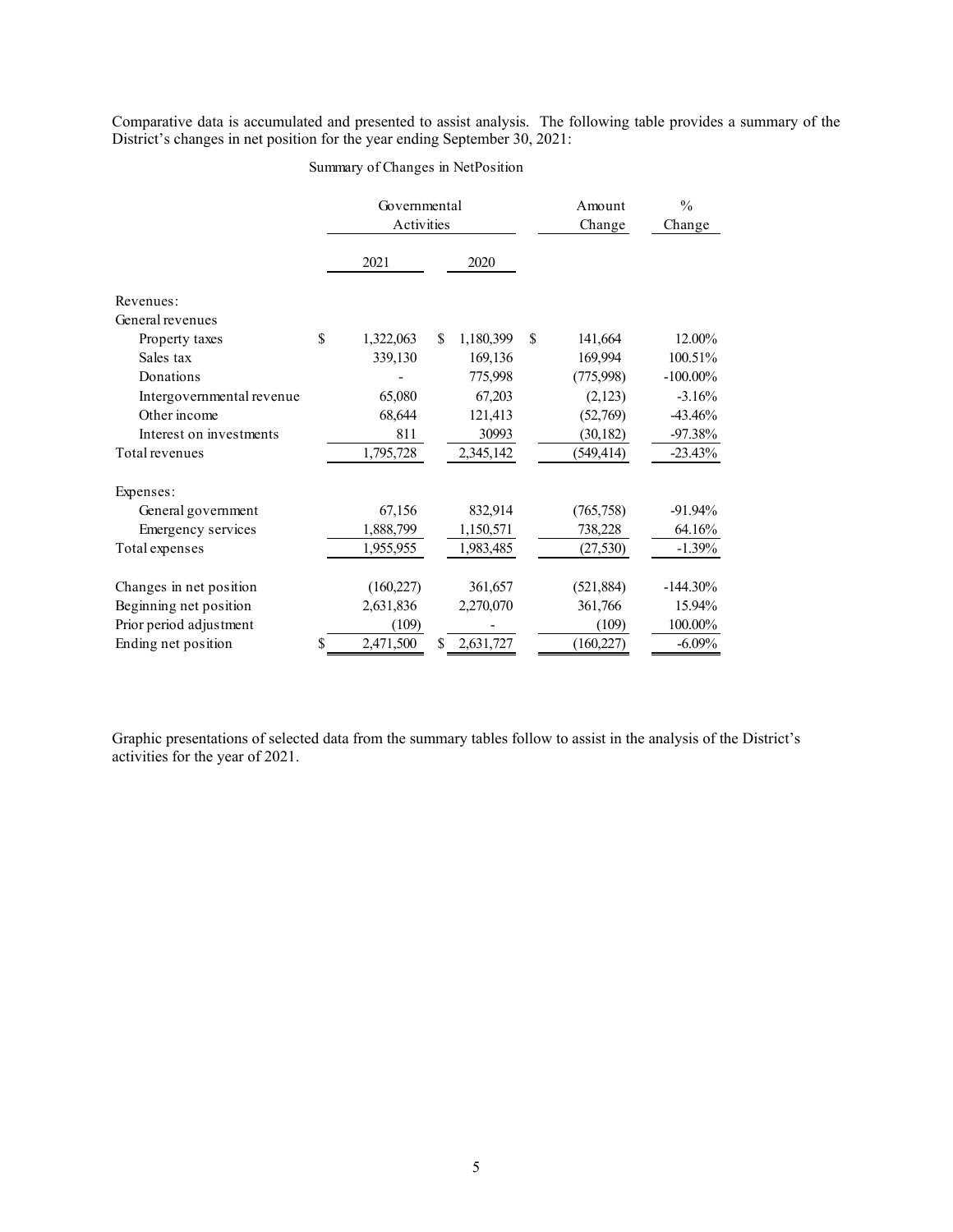Comparative data is accumulated and presented to assist analysis. The following table provides a summary of the District's changes in net position for the year ending September 30, 2021:

Summary of Changes in NetPosition

|                           | Governmental<br>Activities |    |           | Amount<br>Change | $\frac{0}{0}$<br>Change |
|---------------------------|----------------------------|----|-----------|------------------|-------------------------|
|                           | 2021                       |    | 2020      |                  |                         |
| Revenues:                 |                            |    |           |                  |                         |
| General revenues          |                            |    |           |                  |                         |
| Property taxes            | \$<br>1,322,063            | S. | 1,180,399 | \$<br>141,664    | 12.00%                  |
| Sales tax                 | 339,130                    |    | 169,136   | 169,994          | 100.51%                 |
| Donations                 |                            |    | 775,998   | (775, 998)       | $-100.00\%$             |
| Intergovernmental revenue | 65,080                     |    | 67,203    | (2,123)          | $-3.16%$                |
| Other income              | 68,644                     |    | 121,413   | (52,769)         | $-43.46%$               |
| Interest on investments   | 811                        |    | 30993     | (30, 182)        | $-97.38\%$              |
| Total revenues            | 1,795,728                  |    | 2,345,142 | (549, 414)       | $-23.43%$               |
| Expenses:                 |                            |    |           |                  |                         |
| General government        | 67,156                     |    | 832,914   | (765, 758)       | $-91.94\%$              |
| Emergency services        | 1,888,799                  |    | 1,150,571 | 738,228          | 64.16%                  |
| Total expenses            | 1,955,955                  |    | 1,983,485 | (27, 530)        | $-1.39\%$               |
| Changes in net position   | (160, 227)                 |    | 361,657   | (521, 884)       | $-144.30\%$             |
| Beginning net position    | 2,631,836                  |    | 2,270,070 | 361,766          | 15.94%                  |
| Prior period adjustment   | (109)                      |    |           | (109)            | 100.00%                 |
| Ending net position       | \$<br>2,471,500            | \$ | 2,631,727 | (160, 227)       | $-6.09\%$               |

Graphic presentations of selected data from the summary tables follow to assist in the analysis of the District's activities for the year of 2021.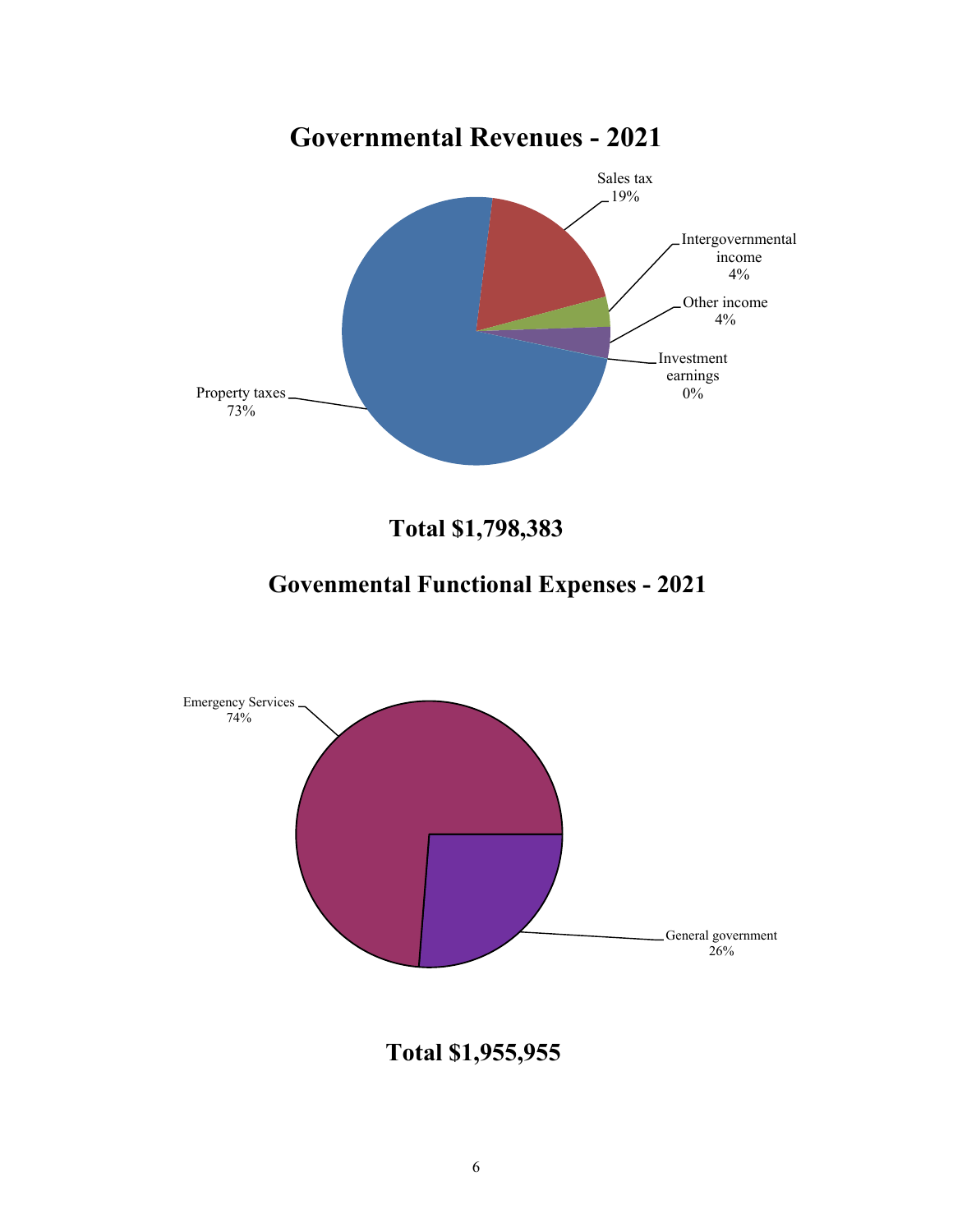

**Total \$1,955,955**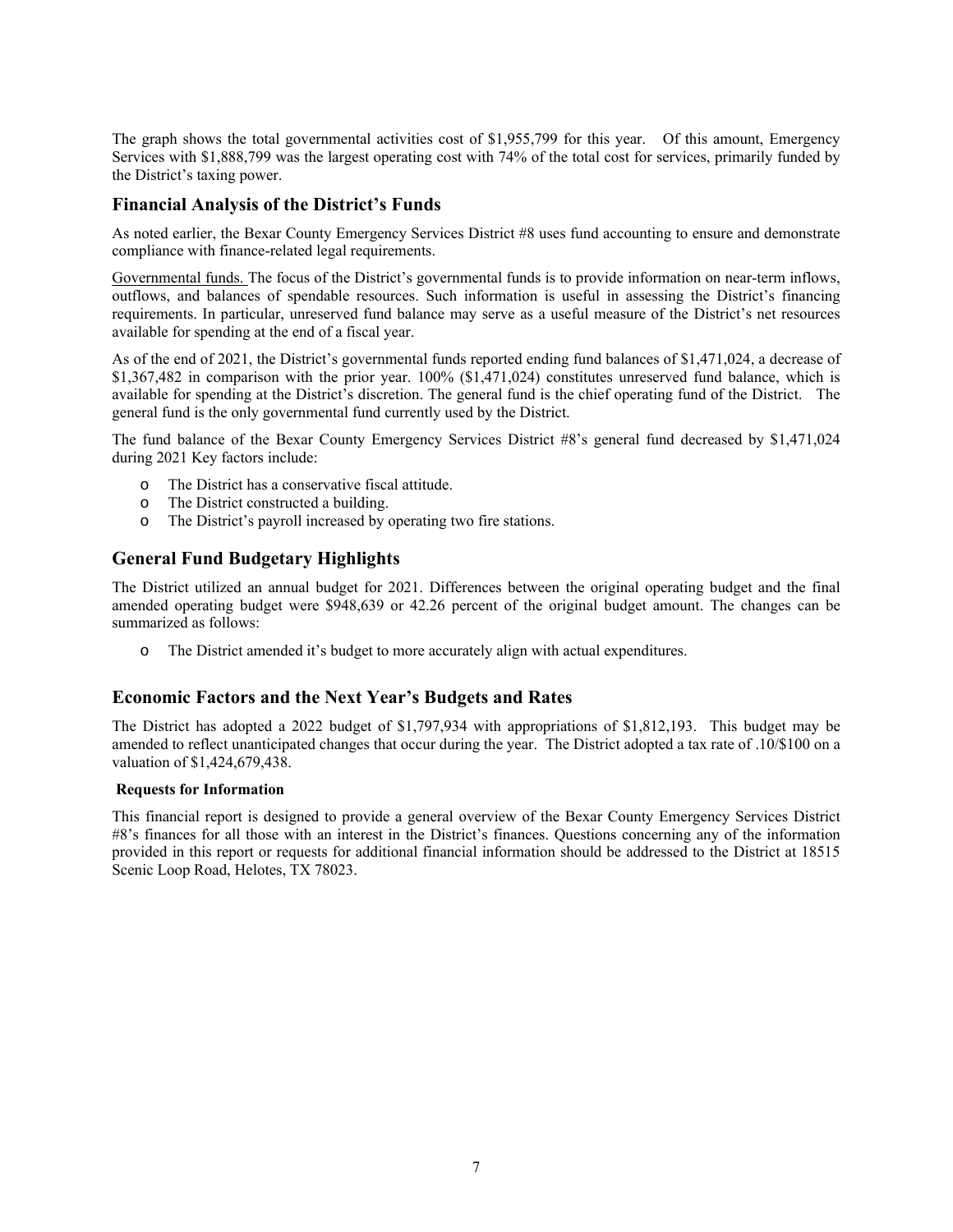The graph shows the total governmental activities cost of \$1,955,799 for this year. Of this amount, Emergency Services with \$1,888,799 was the largest operating cost with 74% of the total cost for services, primarily funded by the District's taxing power.

### **Financial Analysis of the District's Funds**

As noted earlier, the Bexar County Emergency Services District #8 uses fund accounting to ensure and demonstrate compliance with finance-related legal requirements.

Governmental funds. The focus of the District's governmental funds is to provide information on near-term inflows, outflows, and balances of spendable resources. Such information is useful in assessing the District's financing requirements. In particular, unreserved fund balance may serve as a useful measure of the District's net resources available for spending at the end of a fiscal year.

As of the end of 2021, the District's governmental funds reported ending fund balances of \$1,471,024, a decrease of \$1,367,482 in comparison with the prior year. 100% (\$1,471,024) constitutes unreserved fund balance, which is available for spending at the District's discretion. The general fund is the chief operating fund of the District. The general fund is the only governmental fund currently used by the District.

The fund balance of the Bexar County Emergency Services District #8's general fund decreased by \$1,471,024 during 2021 Key factors include:

- o The District has a conservative fiscal attitude.
- o The District constructed a building.
- o The District's payroll increased by operating two fire stations.

### **General Fund Budgetary Highlights**

The District utilized an annual budget for 2021. Differences between the original operating budget and the final amended operating budget were \$948,639 or 42.26 percent of the original budget amount. The changes can be summarized as follows:

o The District amended it's budget to more accurately align with actual expenditures.

### **Economic Factors and the Next Year's Budgets and Rates**

The District has adopted a 2022 budget of \$1,797,934 with appropriations of \$1,812,193. This budget may be amended to reflect unanticipated changes that occur during the year. The District adopted a tax rate of .10/\$100 on a valuation of \$1,424,679,438.

### **Requests for Information**

This financial report is designed to provide a general overview of the Bexar County Emergency Services District #8's finances for all those with an interest in the District's finances. Questions concerning any of the information provided in this report or requests for additional financial information should be addressed to the District at 18515 Scenic Loop Road, Helotes, TX 78023.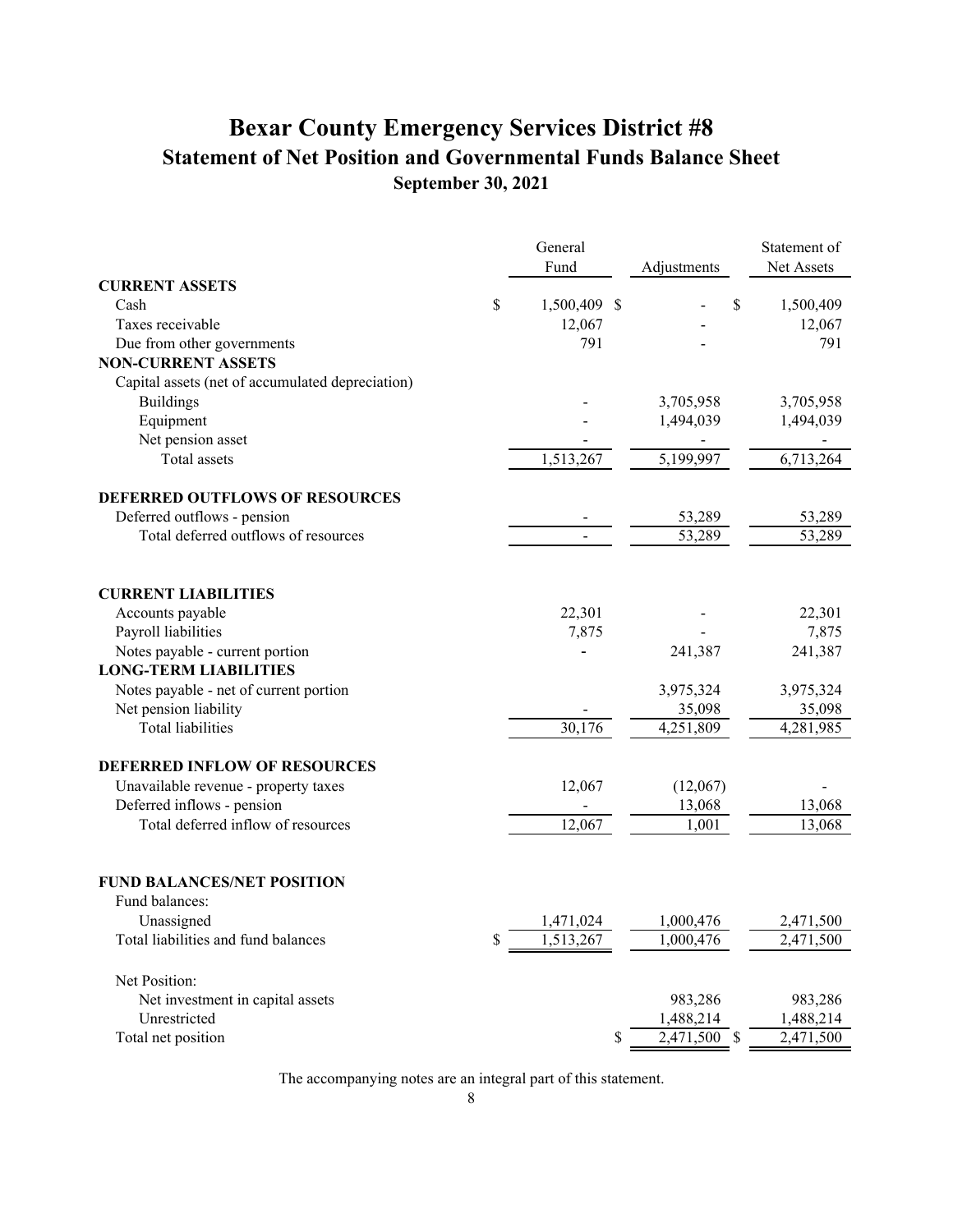# **Bexar County Emergency Services District #8 Statement of Net Position and Governmental Funds Balance Sheet September 30, 2021**

|                                                  | General            |                            | Statement of |
|--------------------------------------------------|--------------------|----------------------------|--------------|
| <b>CURRENT ASSETS</b>                            | Fund               | Adjustments                | Net Assets   |
| Cash                                             | \$<br>1,500,409 \$ | \$                         | 1,500,409    |
| Taxes receivable                                 | 12,067             |                            | 12,067       |
| Due from other governments                       | 791                |                            | 791          |
| <b>NON-CURRENT ASSETS</b>                        |                    |                            |              |
| Capital assets (net of accumulated depreciation) |                    |                            |              |
| <b>Buildings</b>                                 |                    | 3,705,958                  | 3,705,958    |
| Equipment                                        |                    | 1,494,039                  | 1,494,039    |
| Net pension asset                                |                    |                            |              |
| Total assets                                     | 1,513,267          | 5,199,997                  | 6,713,264    |
| <b>DEFERRED OUTFLOWS OF RESOURCES</b>            |                    |                            |              |
| Deferred outflows - pension                      |                    | 53,289                     | 53,289       |
| Total deferred outflows of resources             |                    | 53,289                     | 53,289       |
|                                                  |                    |                            |              |
| <b>CURRENT LIABILITIES</b>                       |                    |                            |              |
| Accounts payable                                 | 22,301             |                            | 22,301       |
| Payroll liabilities                              | 7,875              |                            | 7,875        |
| Notes payable - current portion                  |                    | 241,387                    | 241,387      |
| <b>LONG-TERM LIABILITIES</b>                     |                    |                            |              |
| Notes payable - net of current portion           |                    | 3,975,324                  | 3,975,324    |
| Net pension liability                            |                    | 35,098                     | 35,098       |
| <b>Total liabilities</b>                         | 30,176             | 4,251,809                  | 4,281,985    |
| DEFERRED INFLOW OF RESOURCES                     |                    |                            |              |
| Unavailable revenue - property taxes             | 12,067             | (12,067)                   |              |
| Deferred inflows - pension                       |                    | 13,068                     | 13,068       |
| Total deferred inflow of resources               | 12,067             | 1.001                      | 13,068       |
|                                                  |                    |                            |              |
| <b>FUND BALANCES/NET POSITION</b>                |                    |                            |              |
| Fund balances:                                   |                    |                            |              |
| Unassigned                                       | 1,471,024          | 1,000,476                  | 2,471,500    |
| Total liabilities and fund balances              | \$<br>1,513,267    | 1,000,476                  | 2,471,500    |
| Net Position:                                    |                    |                            |              |
| Net investment in capital assets                 |                    | 983,286                    | 983,286      |
| Unrestricted                                     |                    | 1,488,214                  | 1,488,214    |
| Total net position                               | \$                 | 2,471,500<br>$\mathcal{S}$ | 2,471,500    |

The accompanying notes are an integral part of this statement.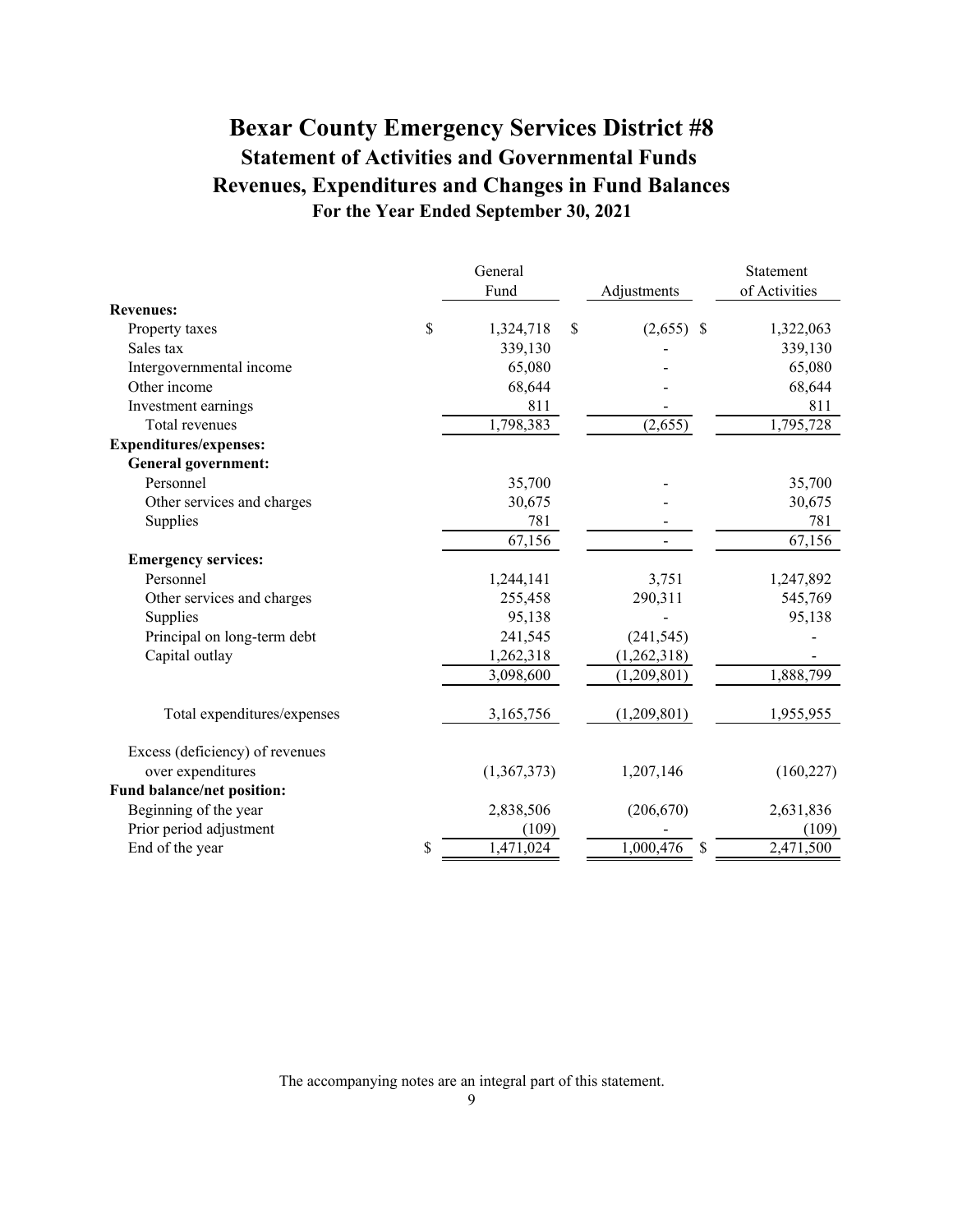# **Bexar County Emergency Services District #8 Statement of Activities and Governmental Funds Revenues, Expenditures and Changes in Fund Balances For the Year Ended September 30, 2021**

|                                 | General         |                    | Statement     |
|---------------------------------|-----------------|--------------------|---------------|
|                                 | Fund            | Adjustments        | of Activities |
| <b>Revenues:</b>                |                 |                    |               |
| Property taxes                  | \$<br>1,324,718 | \$<br>$(2,655)$ \$ | 1,322,063     |
| Sales tax                       | 339,130         |                    | 339,130       |
| Intergovernmental income        | 65,080          |                    | 65,080        |
| Other income                    | 68,644          |                    | 68,644        |
| Investment earnings             | 811             |                    | 811           |
| Total revenues                  | 1,798,383       | (2,655)            | 1,795,728     |
| Expenditures/expenses:          |                 |                    |               |
| <b>General government:</b>      |                 |                    |               |
| Personnel                       | 35,700          |                    | 35,700        |
| Other services and charges      | 30,675          |                    | 30,675        |
| Supplies                        | 781             |                    | 781           |
|                                 | 67,156          |                    | 67,156        |
| <b>Emergency services:</b>      |                 |                    |               |
| Personnel                       | 1,244,141       | 3,751              | 1,247,892     |
| Other services and charges      | 255,458         | 290,311            | 545,769       |
| Supplies                        | 95,138          |                    | 95,138        |
| Principal on long-term debt     | 241,545         | (241, 545)         |               |
| Capital outlay                  | 1,262,318       | (1,262,318)        |               |
|                                 | 3,098,600       | (1,209,801)        | 1,888,799     |
| Total expenditures/expenses     | 3,165,756       | (1,209,801)        | 1,955,955     |
| Excess (deficiency) of revenues |                 |                    |               |
| over expenditures               | (1,367,373)     | 1,207,146          | (160, 227)    |
| Fund balance/net position:      |                 |                    |               |
| Beginning of the year           | 2,838,506       | (206, 670)         | 2,631,836     |
| Prior period adjustment         | (109)           |                    | (109)         |
| End of the year                 | \$<br>1,471,024 | 1,000,476<br>S     | 2,471,500     |

The accompanying notes are an integral part of this statement.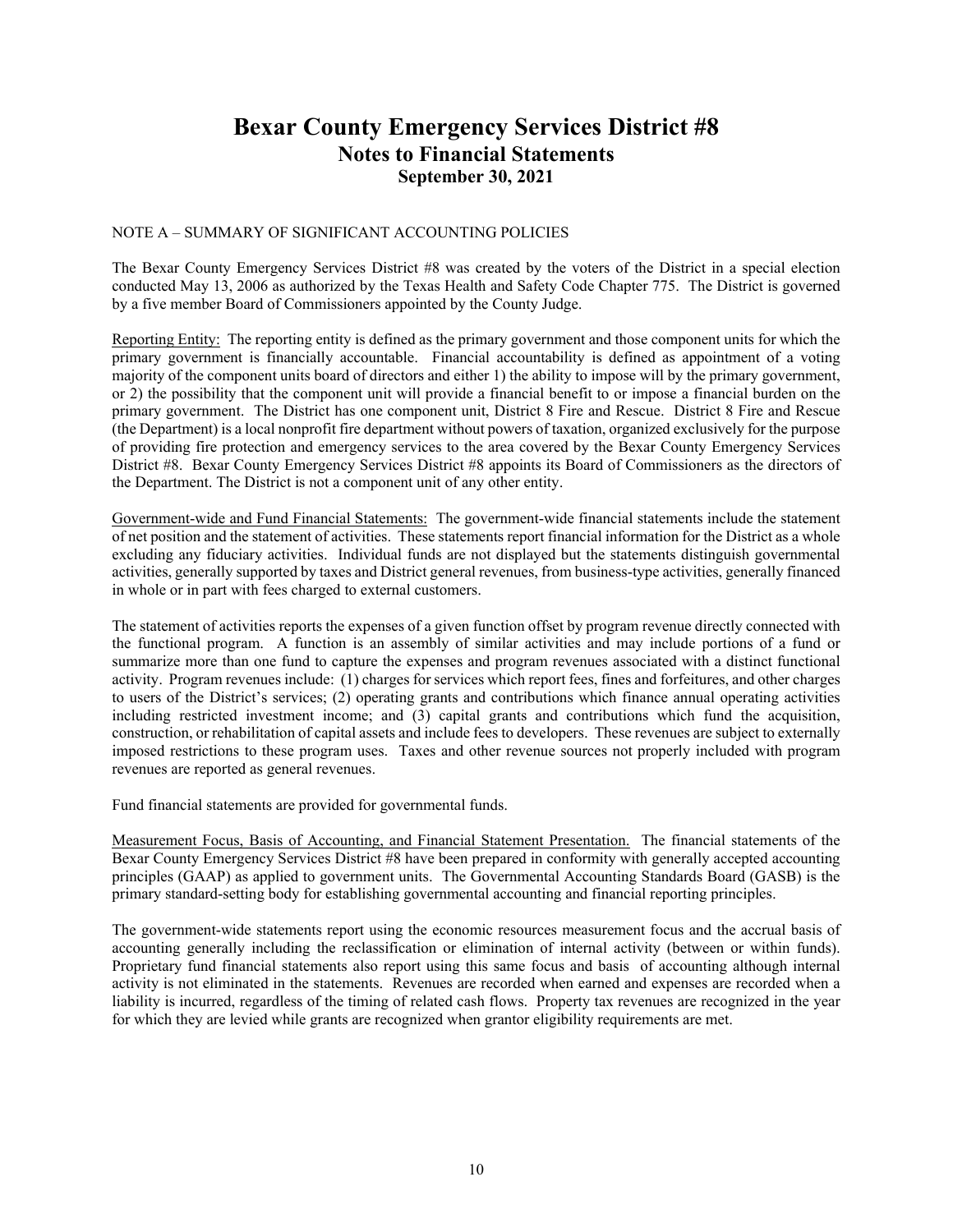### NOTE A – SUMMARY OF SIGNIFICANT ACCOUNTING POLICIES

The Bexar County Emergency Services District #8 was created by the voters of the District in a special election conducted May 13, 2006 as authorized by the Texas Health and Safety Code Chapter 775. The District is governed by a five member Board of Commissioners appointed by the County Judge.

Reporting Entity: The reporting entity is defined as the primary government and those component units for which the primary government is financially accountable. Financial accountability is defined as appointment of a voting majority of the component units board of directors and either 1) the ability to impose will by the primary government, or 2) the possibility that the component unit will provide a financial benefit to or impose a financial burden on the primary government. The District has one component unit, District 8 Fire and Rescue. District 8 Fire and Rescue (the Department) is a local nonprofit fire department without powers of taxation, organized exclusively for the purpose of providing fire protection and emergency services to the area covered by the Bexar County Emergency Services District #8. Bexar County Emergency Services District #8 appoints its Board of Commissioners as the directors of the Department. The District is not a component unit of any other entity.

Government-wide and Fund Financial Statements: The government-wide financial statements include the statement of net position and the statement of activities. These statements report financial information for the District as a whole excluding any fiduciary activities. Individual funds are not displayed but the statements distinguish governmental activities, generally supported by taxes and District general revenues, from business-type activities, generally financed in whole or in part with fees charged to external customers.

The statement of activities reports the expenses of a given function offset by program revenue directly connected with the functional program. A function is an assembly of similar activities and may include portions of a fund or summarize more than one fund to capture the expenses and program revenues associated with a distinct functional activity. Program revenues include: (1) charges for services which report fees, fines and forfeitures, and other charges to users of the District's services; (2) operating grants and contributions which finance annual operating activities including restricted investment income; and (3) capital grants and contributions which fund the acquisition, construction, or rehabilitation of capital assets and include fees to developers. These revenues are subject to externally imposed restrictions to these program uses. Taxes and other revenue sources not properly included with program revenues are reported as general revenues.

Fund financial statements are provided for governmental funds.

Measurement Focus, Basis of Accounting, and Financial Statement Presentation. The financial statements of the Bexar County Emergency Services District #8 have been prepared in conformity with generally accepted accounting principles (GAAP) as applied to government units. The Governmental Accounting Standards Board (GASB) is the primary standard-setting body for establishing governmental accounting and financial reporting principles.

The government-wide statements report using the economic resources measurement focus and the accrual basis of accounting generally including the reclassification or elimination of internal activity (between or within funds). Proprietary fund financial statements also report using this same focus and basis of accounting although internal activity is not eliminated in the statements. Revenues are recorded when earned and expenses are recorded when a liability is incurred, regardless of the timing of related cash flows. Property tax revenues are recognized in the year for which they are levied while grants are recognized when grantor eligibility requirements are met.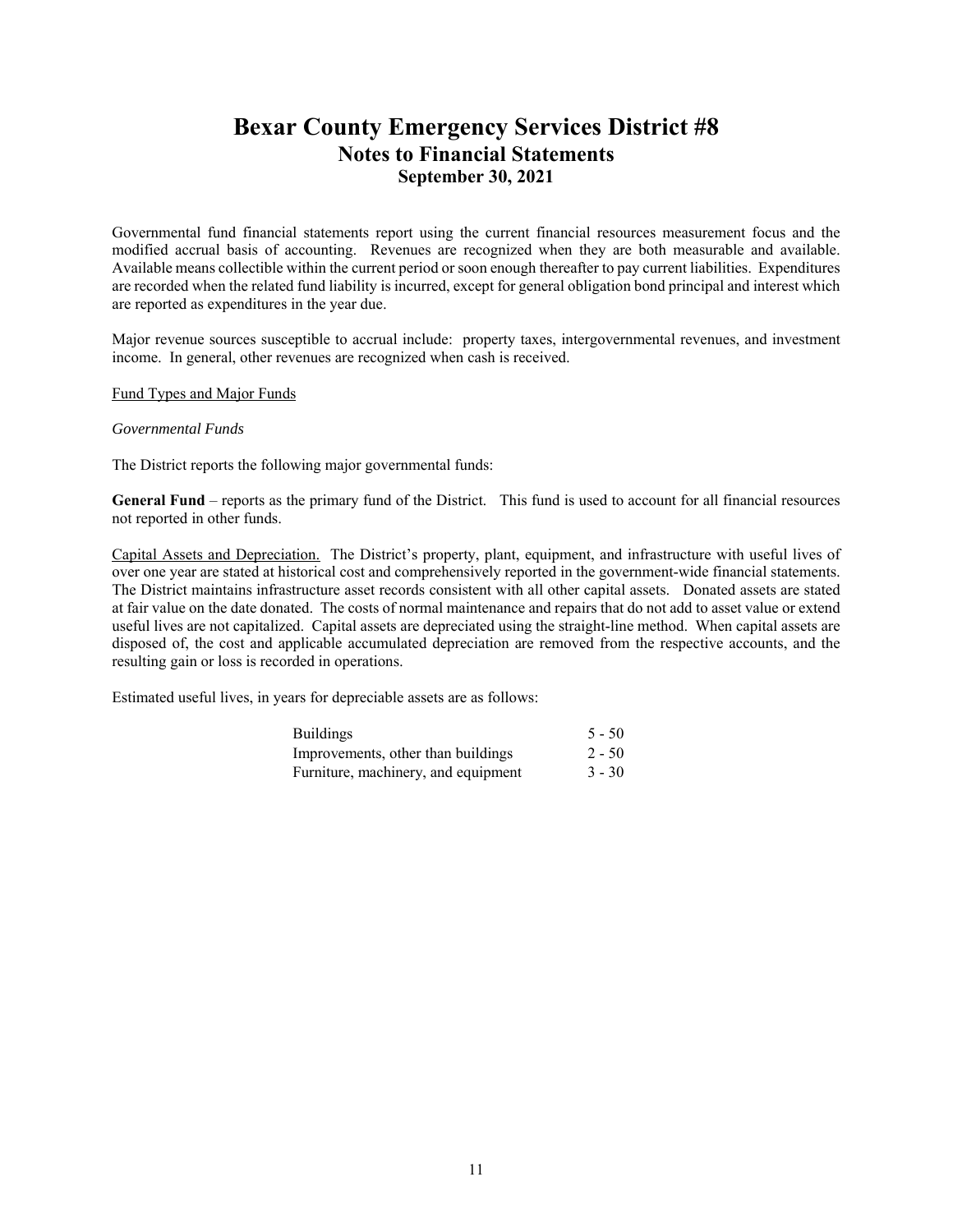Governmental fund financial statements report using the current financial resources measurement focus and the modified accrual basis of accounting. Revenues are recognized when they are both measurable and available. Available means collectible within the current period or soon enough thereafter to pay current liabilities. Expenditures are recorded when the related fund liability is incurred, except for general obligation bond principal and interest which are reported as expenditures in the year due.

Major revenue sources susceptible to accrual include: property taxes, intergovernmental revenues, and investment income. In general, other revenues are recognized when cash is received.

#### Fund Types and Major Funds

#### *Governmental Funds*

The District reports the following major governmental funds:

**General Fund** – reports as the primary fund of the District. This fund is used to account for all financial resources not reported in other funds.

Capital Assets and Depreciation. The District's property, plant, equipment, and infrastructure with useful lives of over one year are stated at historical cost and comprehensively reported in the government-wide financial statements. The District maintains infrastructure asset records consistent with all other capital assets. Donated assets are stated at fair value on the date donated. The costs of normal maintenance and repairs that do not add to asset value or extend useful lives are not capitalized. Capital assets are depreciated using the straight-line method. When capital assets are disposed of, the cost and applicable accumulated depreciation are removed from the respective accounts, and the resulting gain or loss is recorded in operations.

Estimated useful lives, in years for depreciable assets are as follows:

| <b>Buildings</b>                    | $5 - 50$ |
|-------------------------------------|----------|
| Improvements, other than buildings  | $2 - 50$ |
| Furniture, machinery, and equipment | $3 - 30$ |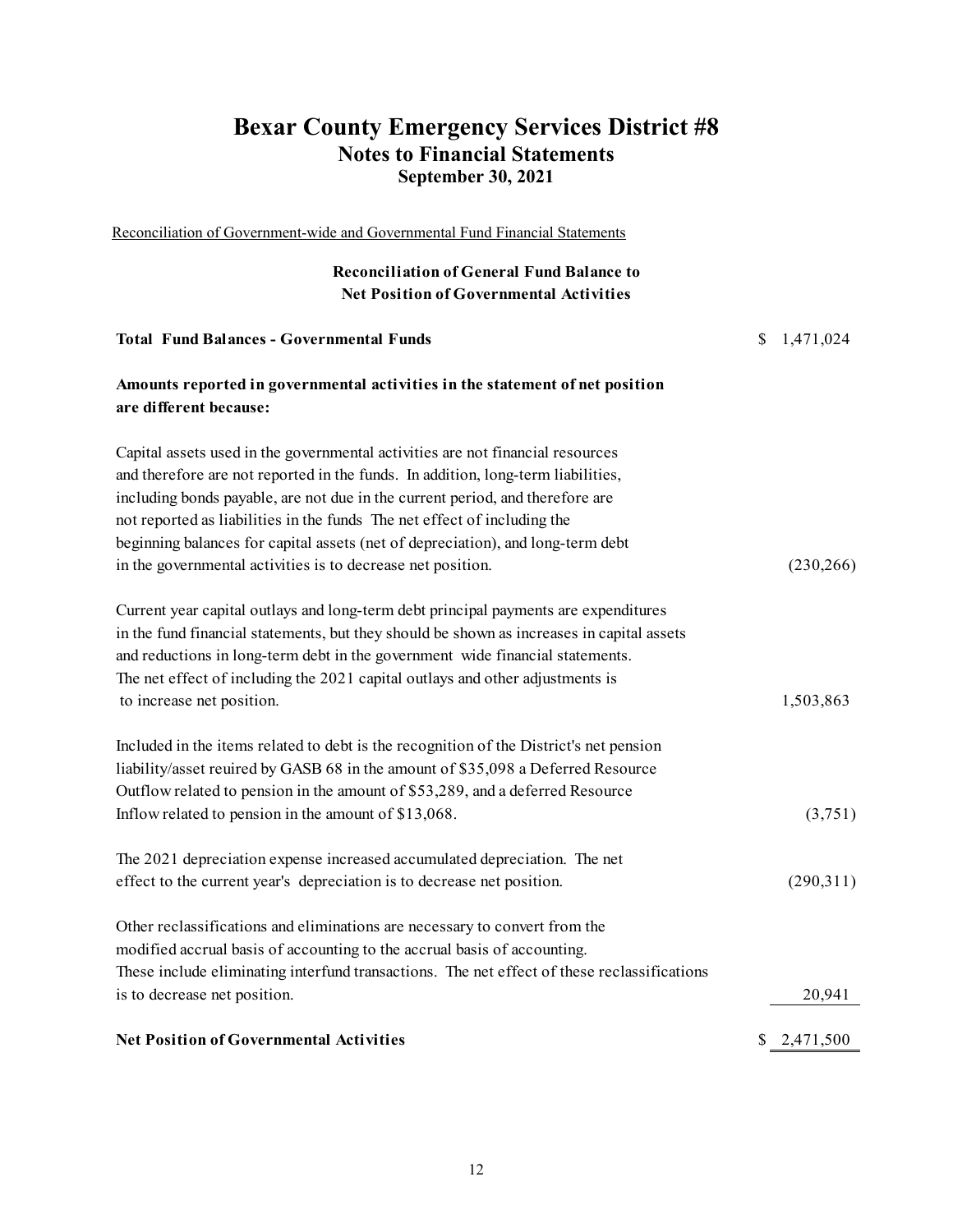Reconciliation of Government-wide and Governmental Fund Financial Statements **Total Fund Balances - Governmental Funds** \$ 1,471,024 **Amounts reported in governmental activities in the statement of net position are different because:** Capital assets used in the governmental activities are not financial resources and therefore are not reported in the funds. In addition, long-term liabilities, including bonds payable, are not due in the current period, and therefore are not reported as liabilities in the funds The net effect of including the beginning balances for capital assets (net of depreciation), and long-term debt in the governmental activities is to decrease net position. (230,266) Current year capital outlays and long-term debt principal payments are expenditures in the fund financial statements, but they should be shown as increases in capital assets and reductions in long-term debt in the government wide financial statements. The net effect of including the 2021 capital outlays and other adjustments is to increase net position. 1,503,863 Included in the items related to debt is the recognition of the District's net pension liability/asset reuired by GASB 68 in the amount of \$35,098 a Deferred Resource Outflow related to pension in the amount of \$53,289, and a deferred Resource Inflow related to pension in the amount of \$13,068. (3,751) The 2021 depreciation expense increased accumulated depreciation. The net effect to the current year's depreciation is to decrease net position. (290,311) Other reclassifications and eliminations are necessary to convert from the modified accrual basis of accounting to the accrual basis of accounting. These include eliminating interfund transactions. The net effect of these reclassifications is to decrease net position. 20,941 **Net Position of Governmental Activities 8 2,471,500 Reconciliation of General Fund Balance to Net Position of Governmental Activities**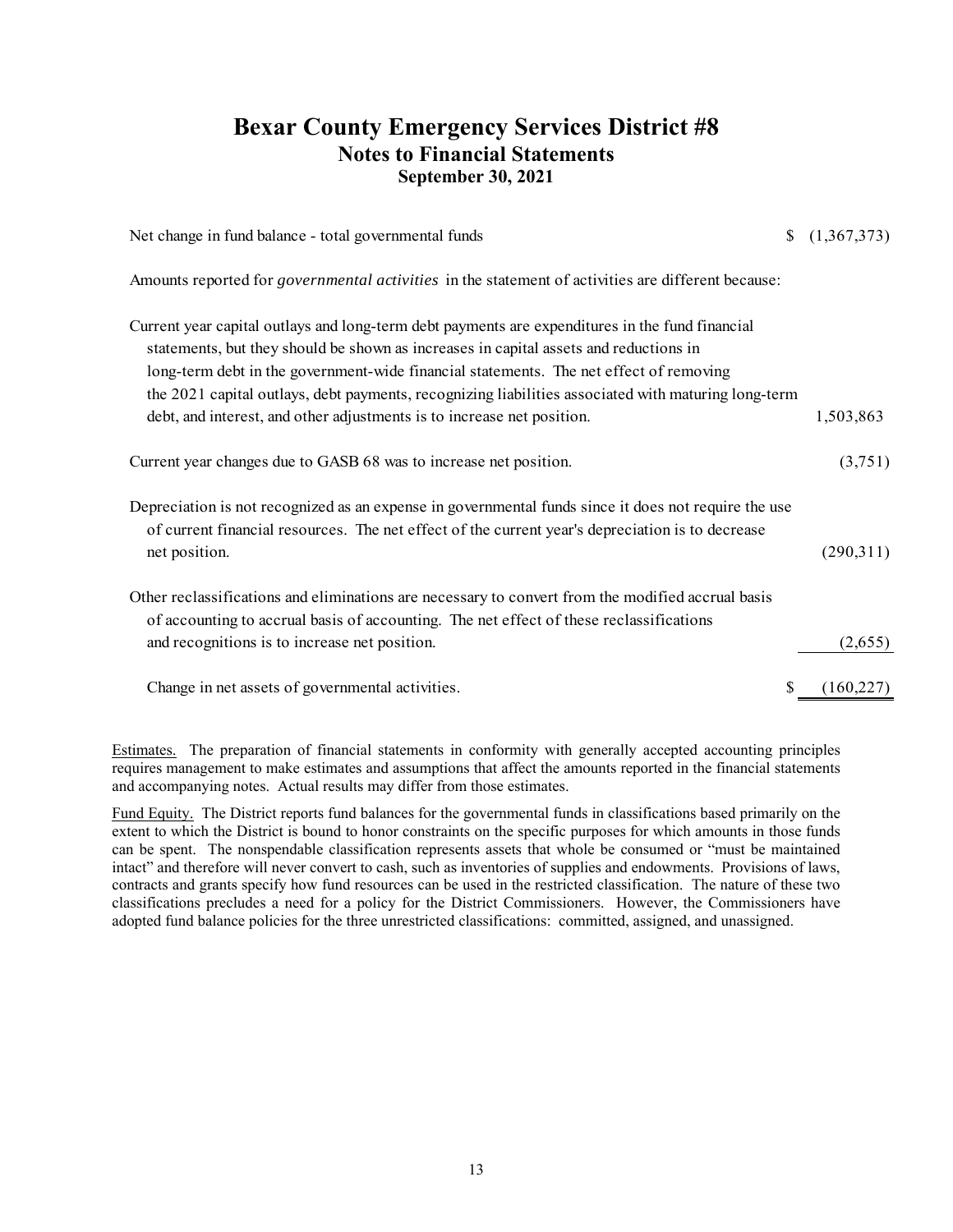| Net change in fund balance - total governmental funds                                                                                                                                                                                                                                                                                                                                     | (1,367,373) |
|-------------------------------------------------------------------------------------------------------------------------------------------------------------------------------------------------------------------------------------------------------------------------------------------------------------------------------------------------------------------------------------------|-------------|
| Amounts reported for <i>governmental activities</i> in the statement of activities are different because:                                                                                                                                                                                                                                                                                 |             |
| Current year capital outlays and long-term debt payments are expenditures in the fund financial<br>statements, but they should be shown as increases in capital assets and reductions in<br>long-term debt in the government-wide financial statements. The net effect of removing<br>the 2021 capital outlays, debt payments, recognizing liabilities associated with maturing long-term |             |
| debt, and interest, and other adjustments is to increase net position.                                                                                                                                                                                                                                                                                                                    | 1,503,863   |
| Current year changes due to GASB 68 was to increase net position.                                                                                                                                                                                                                                                                                                                         | (3,751)     |
| Depreciation is not recognized as an expense in governmental funds since it does not require the use<br>of current financial resources. The net effect of the current year's depreciation is to decrease<br>net position.                                                                                                                                                                 | (290,311)   |
| Other reclassifications and eliminations are necessary to convert from the modified accrual basis<br>of accounting to accrual basis of accounting. The net effect of these reclassifications<br>and recognitions is to increase net position.                                                                                                                                             | (2,655)     |
| Change in net assets of governmental activities.                                                                                                                                                                                                                                                                                                                                          | (160, 227)  |

Estimates. The preparation of financial statements in conformity with generally accepted accounting principles requires management to make estimates and assumptions that affect the amounts reported in the financial statements and accompanying notes. Actual results may differ from those estimates.

Fund Equity. The District reports fund balances for the governmental funds in classifications based primarily on the extent to which the District is bound to honor constraints on the specific purposes for which amounts in those funds can be spent. The nonspendable classification represents assets that whole be consumed or "must be maintained intact" and therefore will never convert to cash, such as inventories of supplies and endowments. Provisions of laws, contracts and grants specify how fund resources can be used in the restricted classification. The nature of these two classifications precludes a need for a policy for the District Commissioners. However, the Commissioners have adopted fund balance policies for the three unrestricted classifications: committed, assigned, and unassigned.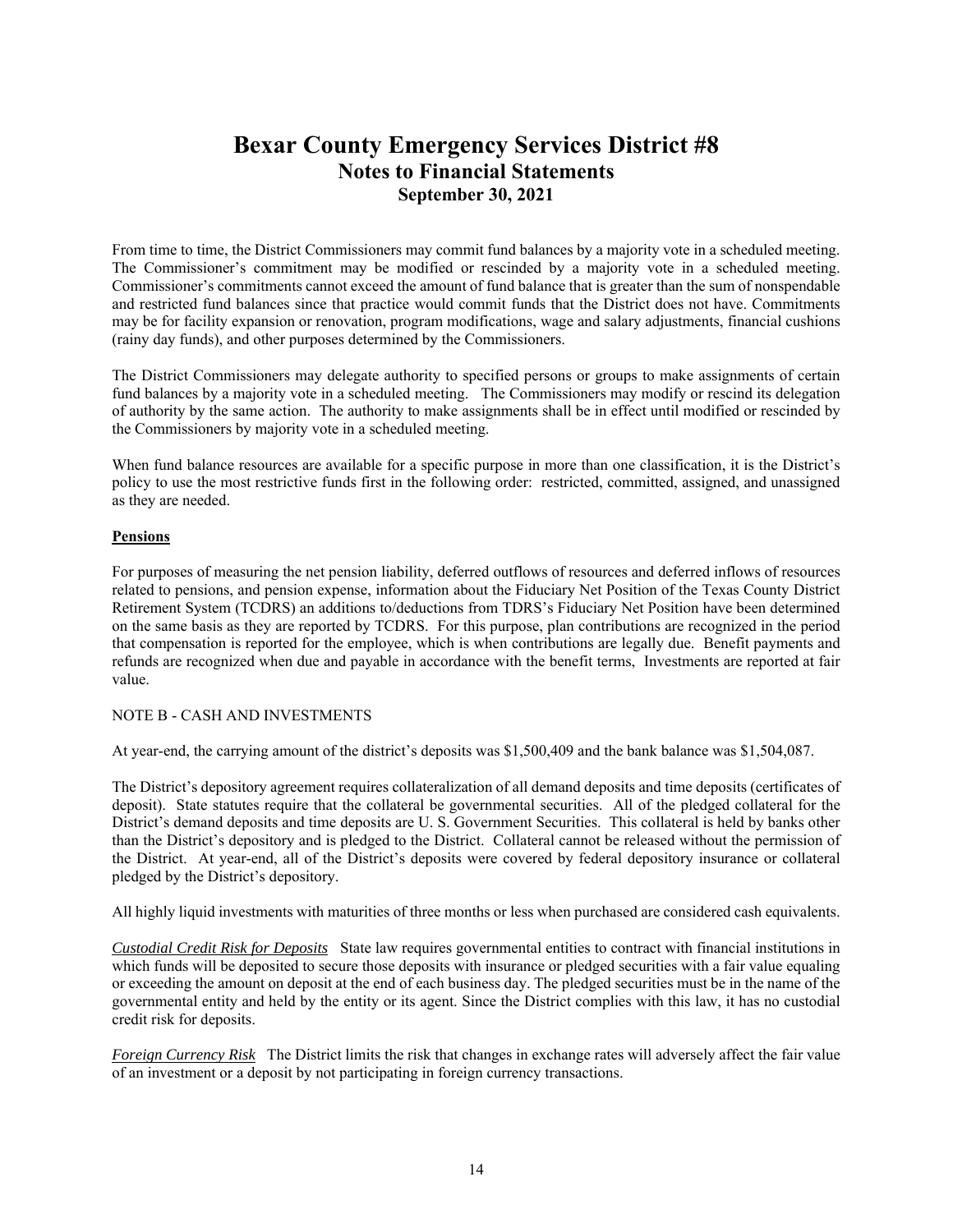From time to time, the District Commissioners may commit fund balances by a majority vote in a scheduled meeting. The Commissioner's commitment may be modified or rescinded by a majority vote in a scheduled meeting. Commissioner's commitments cannot exceed the amount of fund balance that is greater than the sum of nonspendable and restricted fund balances since that practice would commit funds that the District does not have. Commitments may be for facility expansion or renovation, program modifications, wage and salary adjustments, financial cushions (rainy day funds), and other purposes determined by the Commissioners.

The District Commissioners may delegate authority to specified persons or groups to make assignments of certain fund balances by a majority vote in a scheduled meeting. The Commissioners may modify or rescind its delegation of authority by the same action. The authority to make assignments shall be in effect until modified or rescinded by the Commissioners by majority vote in a scheduled meeting.

When fund balance resources are available for a specific purpose in more than one classification, it is the District's policy to use the most restrictive funds first in the following order: restricted, committed, assigned, and unassigned as they are needed.

### **Pensions**

For purposes of measuring the net pension liability, deferred outflows of resources and deferred inflows of resources related to pensions, and pension expense, information about the Fiduciary Net Position of the Texas County District Retirement System (TCDRS) an additions to/deductions from TDRS's Fiduciary Net Position have been determined on the same basis as they are reported by TCDRS. For this purpose, plan contributions are recognized in the period that compensation is reported for the employee, which is when contributions are legally due. Benefit payments and refunds are recognized when due and payable in accordance with the benefit terms, Investments are reported at fair value.

### NOTE B - CASH AND INVESTMENTS

At year-end, the carrying amount of the district's deposits was \$1,500,409 and the bank balance was \$1,504,087.

The District's depository agreement requires collateralization of all demand deposits and time deposits (certificates of deposit). State statutes require that the collateral be governmental securities. All of the pledged collateral for the District's demand deposits and time deposits are U. S. Government Securities. This collateral is held by banks other than the District's depository and is pledged to the District. Collateral cannot be released without the permission of the District. At year-end, all of the District's deposits were covered by federal depository insurance or collateral pledged by the District's depository.

All highly liquid investments with maturities of three months or less when purchased are considered cash equivalents.

*Custodial Credit Risk for Deposits* State law requires governmental entities to contract with financial institutions in which funds will be deposited to secure those deposits with insurance or pledged securities with a fair value equaling or exceeding the amount on deposit at the end of each business day. The pledged securities must be in the name of the governmental entity and held by the entity or its agent. Since the District complies with this law, it has no custodial credit risk for deposits.

*Foreign Currency Risk* The District limits the risk that changes in exchange rates will adversely affect the fair value of an investment or a deposit by not participating in foreign currency transactions.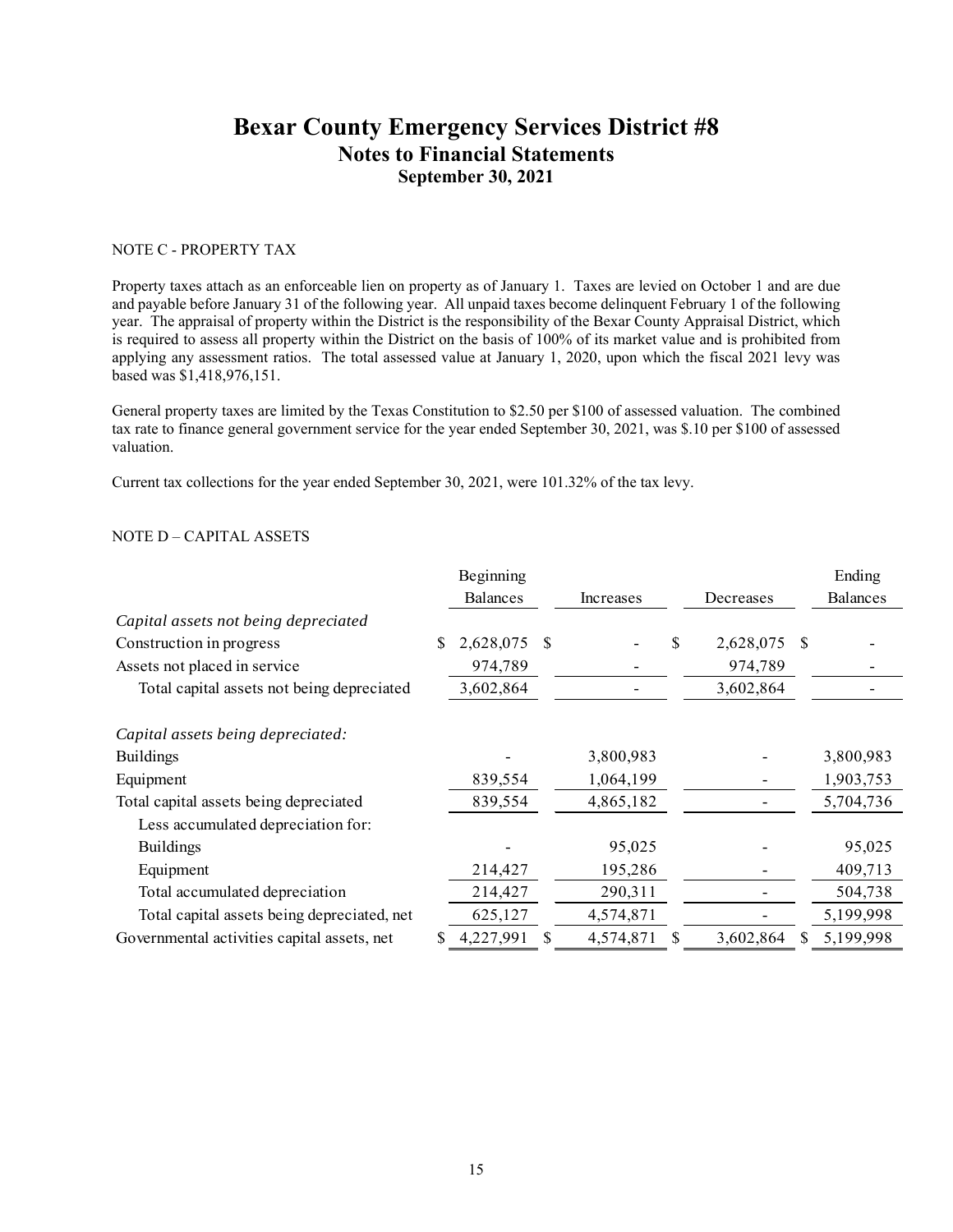#### NOTE C - PROPERTY TAX

Property taxes attach as an enforceable lien on property as of January 1. Taxes are levied on October 1 and are due and payable before January 31 of the following year. All unpaid taxes become delinquent February 1 of the following year. The appraisal of property within the District is the responsibility of the Bexar County Appraisal District, which is required to assess all property within the District on the basis of 100% of its market value and is prohibited from applying any assessment ratios. The total assessed value at January 1, 2020, upon which the fiscal 2021 levy was based was \$1,418,976,151.

General property taxes are limited by the Texas Constitution to \$2.50 per \$100 of assessed valuation. The combined tax rate to finance general government service for the year ended September 30, 2021, was \$.10 per \$100 of assessed valuation.

Current tax collections for the year ended September 30, 2021, were 101.32% of the tax levy.

### NOTE D – CAPITAL ASSETS

|                                             | Beginning       |   |           |           |          | Ending          |
|---------------------------------------------|-----------------|---|-----------|-----------|----------|-----------------|
|                                             | <b>Balances</b> |   | Increases | Decreases |          | <b>Balances</b> |
| Capital assets not being depreciated        |                 |   |           |           |          |                 |
| Construction in progress                    | 2,628,075       | S |           | 2,628,075 | <b>S</b> |                 |
| Assets not placed in service                | 974,789         |   |           | 974,789   |          |                 |
| Total capital assets not being depreciated  | 3,602,864       |   |           | 3,602,864 |          |                 |
| Capital assets being depreciated:           |                 |   |           |           |          |                 |
| <b>Buildings</b>                            |                 |   | 3,800,983 |           |          | 3,800,983       |
| Equipment                                   | 839,554         |   | 1,064,199 |           |          | 1,903,753       |
| Total capital assets being depreciated      | 839,554         |   | 4,865,182 |           |          | 5,704,736       |
| Less accumulated depreciation for:          |                 |   |           |           |          |                 |
| <b>Buildings</b>                            |                 |   | 95,025    |           |          | 95,025          |
| Equipment                                   | 214,427         |   | 195,286   |           |          | 409,713         |
| Total accumulated depreciation              | 214,427         |   | 290,311   |           |          | 504,738         |
| Total capital assets being depreciated, net | 625,127         |   | 4,574,871 |           |          | 5,199,998       |
| Governmental activities capital assets, net | 4,227,991       |   | 4,574,871 | 3,602,864 |          | 5,199,998       |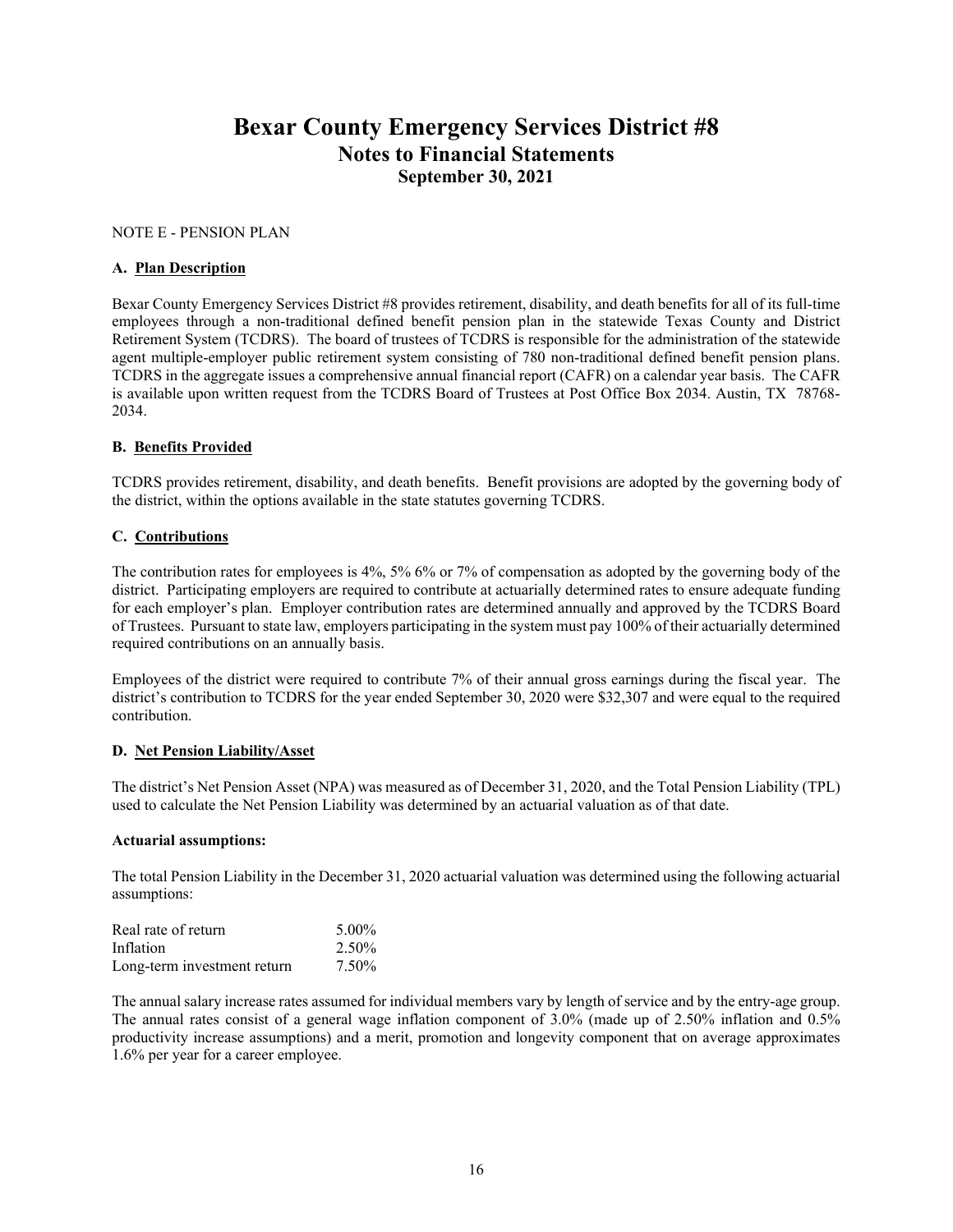#### NOTE E - PENSION PLAN

### **A. Plan Description**

Bexar County Emergency Services District #8 provides retirement, disability, and death benefits for all of its full-time employees through a non-traditional defined benefit pension plan in the statewide Texas County and District Retirement System (TCDRS). The board of trustees of TCDRS is responsible for the administration of the statewide agent multiple-employer public retirement system consisting of 780 non-traditional defined benefit pension plans. TCDRS in the aggregate issues a comprehensive annual financial report (CAFR) on a calendar year basis. The CAFR is available upon written request from the TCDRS Board of Trustees at Post Office Box 2034. Austin, TX 78768- 2034.

### **B. Benefits Provided**

TCDRS provides retirement, disability, and death benefits. Benefit provisions are adopted by the governing body of the district, within the options available in the state statutes governing TCDRS.

### **C. Contributions**

The contribution rates for employees is 4%, 5% 6% or 7% of compensation as adopted by the governing body of the district. Participating employers are required to contribute at actuarially determined rates to ensure adequate funding for each employer's plan. Employer contribution rates are determined annually and approved by the TCDRS Board of Trustees. Pursuant to state law, employers participating in the system must pay 100% of their actuarially determined required contributions on an annually basis.

Employees of the district were required to contribute 7% of their annual gross earnings during the fiscal year. The district's contribution to TCDRS for the year ended September 30, 2020 were \$32,307 and were equal to the required contribution.

#### **D. Net Pension Liability/Asset**

The district's Net Pension Asset (NPA) was measured as of December 31, 2020, and the Total Pension Liability (TPL) used to calculate the Net Pension Liability was determined by an actuarial valuation as of that date.

#### **Actuarial assumptions:**

The total Pension Liability in the December 31, 2020 actuarial valuation was determined using the following actuarial assumptions:

| Real rate of return         | 5.00% |
|-----------------------------|-------|
| Inflation                   | 2.50% |
| Long-term investment return | 7.50% |

The annual salary increase rates assumed for individual members vary by length of service and by the entry-age group. The annual rates consist of a general wage inflation component of 3.0% (made up of 2.50% inflation and 0.5% productivity increase assumptions) and a merit, promotion and longevity component that on average approximates 1.6% per year for a career employee.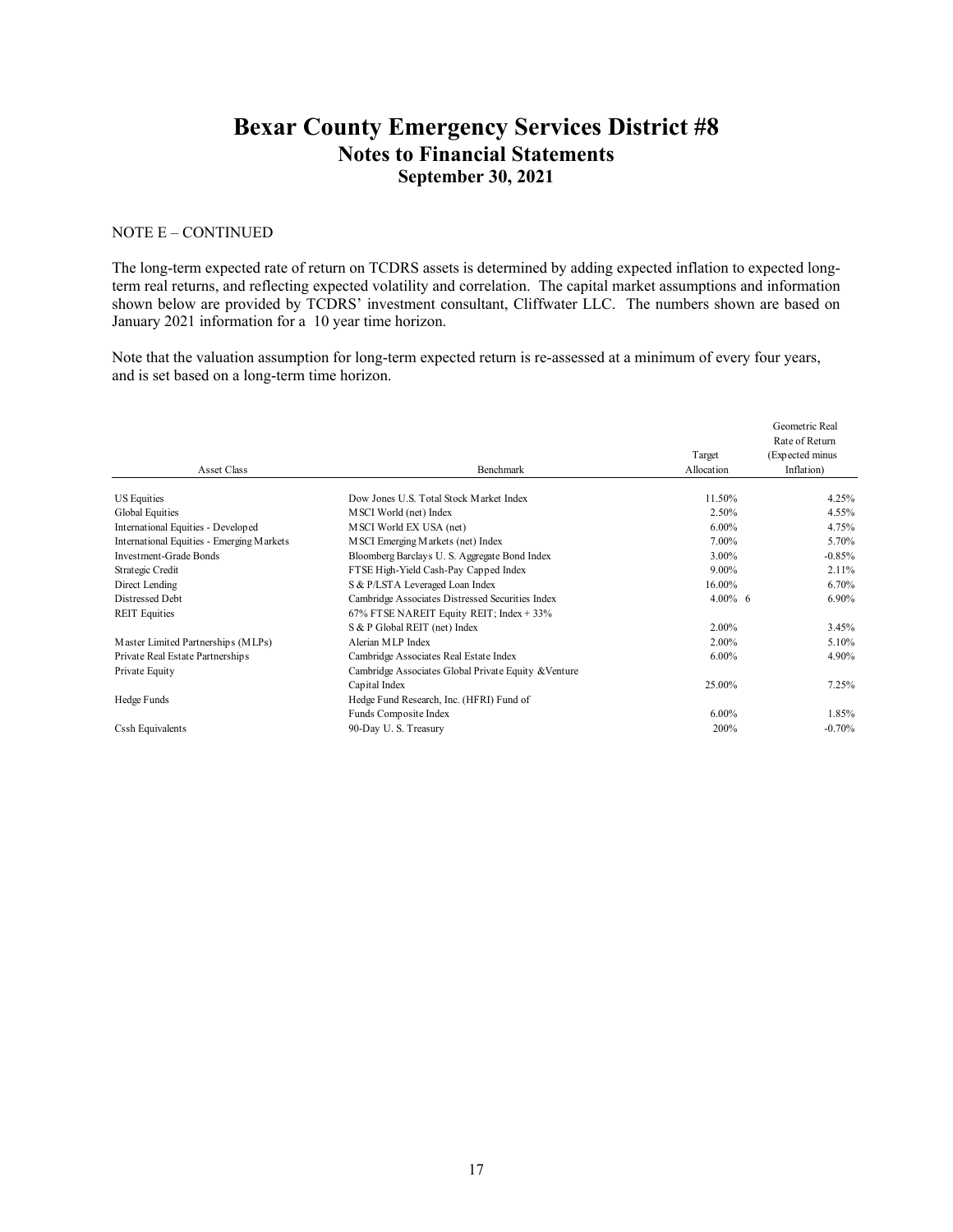### NOTE E – CONTINUED

The long-term expected rate of return on TCDRS assets is determined by adding expected inflation to expected longterm real returns, and reflecting expected volatility and correlation. The capital market assumptions and information shown below are provided by TCDRS' investment consultant, Cliffwater LLC. The numbers shown are based on January 2021 information for a 10 year time horizon.

Note that the valuation assumption for long-term expected return is re-assessed at a minimum of every four years, and is set based on a long-term time horizon.

|                                           |                                                      |            | Geometric Real  |
|-------------------------------------------|------------------------------------------------------|------------|-----------------|
|                                           |                                                      |            | Rate of Return  |
|                                           |                                                      | Target     | (Expected minus |
| Asset Class                               | Benchmark                                            | Allocation | Inflation)      |
| US Equities                               | Dow Jones U.S. Total Stock Market Index              | 11.50%     | 4.25%           |
| Global Equities                           | M SCI World (net) Index                              | 2.50%      | 4.55%           |
| International Equities - Developed        | MSCI World EX USA (net)                              | $6.00\%$   | 4.75%           |
| International Equities - Emerging Markets | M SCI Emerging Markets (net) Index                   | 7.00%      | 5.70%           |
| Investment-Grade Bonds                    | Bloomberg Barclays U. S. Aggregate Bond Index        | 3.00%      | $-0.85%$        |
| Strategic Credit                          | FTSE High-Yield Cash-Pay Capped Index                | 9.00%      | 2.11%           |
| Direct Lending                            | S & P/LSTA Leveraged Loan Index                      | 16.00%     | 6.70%           |
| Distressed Debt                           | Cambridge Associates Distressed Securities Index     | $4.00\%$ 6 | 6.90%           |
| <b>REIT Equities</b>                      | 67% FTSE NAREIT Equity REIT; Index + 33%             |            |                 |
|                                           | S & P Global REIT (net) Index                        | 2.00%      | 3.45%           |
| Master Limited Partnerships (MLPs)        | Alerian MLP Index                                    | 2.00%      | 5.10%           |
| Private Real Estate Partnerships          | Cambridge Associates Real Estate Index               | $6.00\%$   | 4.90%           |
| Private Equity                            | Cambridge Associates Global Private Equity & Venture |            |                 |
|                                           | Capital Index                                        | 25.00%     | 7.25%           |
| Hedge Funds                               | Hedge Fund Research, Inc. (HFRI) Fund of             |            |                 |
|                                           | Funds Composite Index                                | $6.00\%$   | 1.85%           |
| Cssh Equivalents                          | 90-Day U.S. Treasury                                 | 200%       | $-0.70%$        |
|                                           |                                                      |            |                 |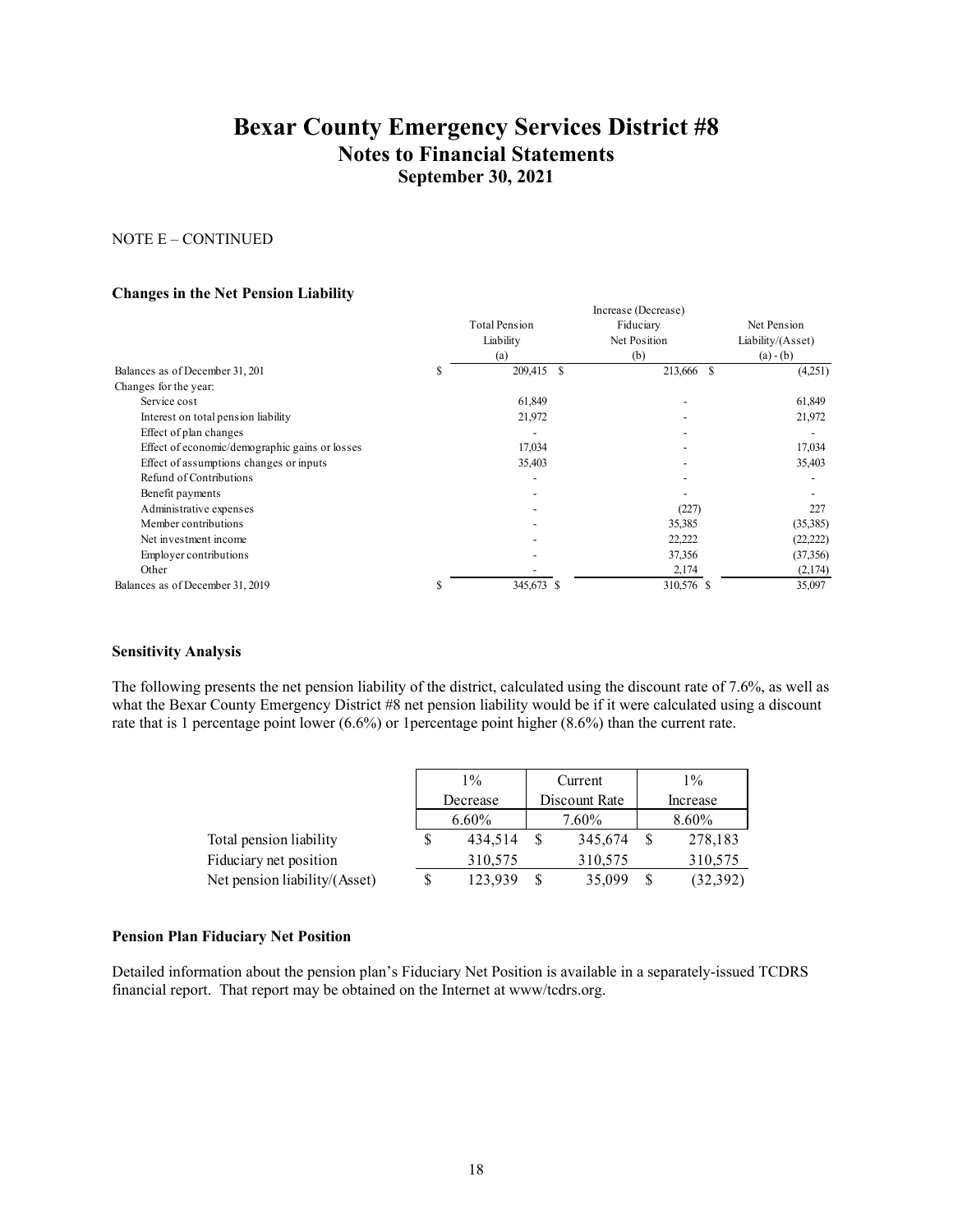### NOTE E – CONTINUED

### **Changes in the Net Pension Liability**

|                                                | Increase (Decrease) |                      |              |                   |  |  |  |
|------------------------------------------------|---------------------|----------------------|--------------|-------------------|--|--|--|
|                                                |                     | <b>Total Pension</b> | Fiduciary    | Net Pension       |  |  |  |
|                                                |                     | Liability            | Net Position | Liability/(Asset) |  |  |  |
|                                                |                     | (a)                  | (b)          | $(a) - (b)$       |  |  |  |
| Balances as of December 31, 201                |                     | 209,415 \$           | 213,666 \$   | (4,251)           |  |  |  |
| Changes for the year:                          |                     |                      |              |                   |  |  |  |
| Service cost                                   |                     | 61,849               |              | 61,849            |  |  |  |
| Interest on total pension liability            |                     | 21,972               |              | 21,972            |  |  |  |
| Effect of plan changes                         |                     |                      |              |                   |  |  |  |
| Effect of economic/demographic gains or losses |                     | 17,034               |              | 17,034            |  |  |  |
| Effect of assumptions changes or inputs        |                     | 35,403               |              | 35,403            |  |  |  |
| Refund of Contributions                        |                     |                      |              |                   |  |  |  |
| Benefit payments                               |                     |                      |              |                   |  |  |  |
| Administrative expenses                        |                     |                      | (227)        | 227               |  |  |  |
| Member contributions                           |                     |                      | 35,385       | (35,385)          |  |  |  |
| Net investment income                          |                     |                      | 22,222       | (22, 222)         |  |  |  |
| Employer contributions                         |                     |                      | 37,356       | (37, 356)         |  |  |  |
| Other                                          |                     |                      | 2,174        | (2,174)           |  |  |  |
| Balances as of December 31, 2019               |                     | 345,673 \$           | 310,576 \$   | 35,097            |  |  |  |

### **Sensitivity Analysis**

The following presents the net pension liability of the district, calculated using the discount rate of 7.6%, as well as what the Bexar County Emergency District #8 net pension liability would be if it were calculated using a discount rate that is 1 percentage point lower (6.6%) or 1percentage point higher (8.6%) than the current rate.

|                               | $1\%$    |          |   | Current       | $1\%$    |           |  |
|-------------------------------|----------|----------|---|---------------|----------|-----------|--|
|                               | Decrease |          |   | Discount Rate | Increase |           |  |
|                               |          | $6.60\%$ |   | 7.60%         |          | 8.60%     |  |
| Total pension liability       |          | 434.514  |   | 345,674       |          | 278,183   |  |
| Fiduciary net position        |          | 310,575  |   | 310,575       |          | 310,575   |  |
| Net pension liability/(Asset) |          | 123,939  | S | 35,099        |          | (32, 392) |  |

#### **Pension Plan Fiduciary Net Position**

Detailed information about the pension plan's Fiduciary Net Position is available in a separately-issued TCDRS financial report. That report may be obtained on the Internet at www/tcdrs.org.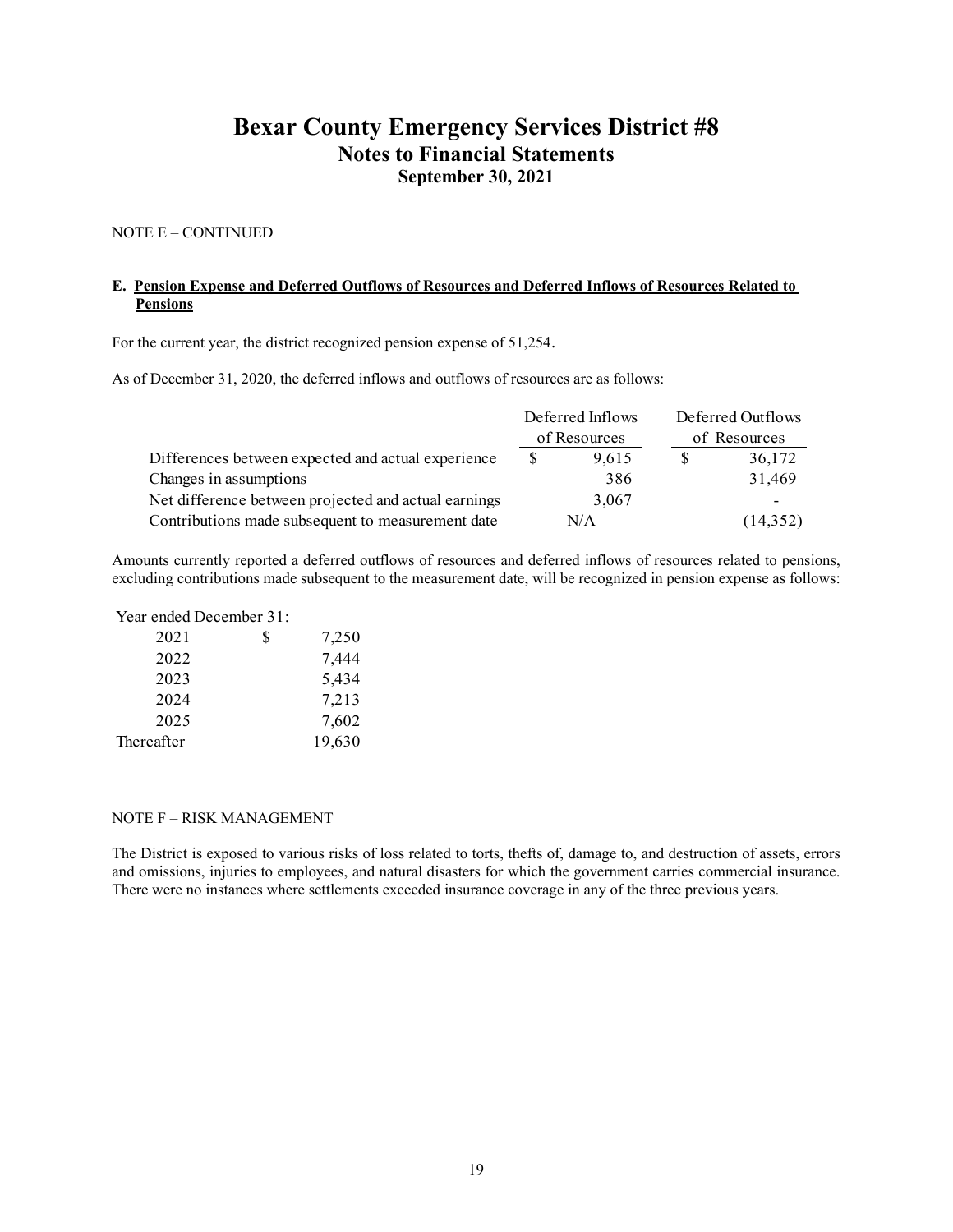### NOTE E – CONTINUED

### **E. Pension Expense and Deferred Outflows of Resources and Deferred Inflows of Resources Related to Pensions**

For the current year, the district recognized pension expense of 51,254.

As of December 31, 2020, the deferred inflows and outflows of resources are as follows:

|                                                      | Deferred Inflows |       | Deferred Outflows<br>of Resources |          |
|------------------------------------------------------|------------------|-------|-----------------------------------|----------|
|                                                      | of Resources     |       |                                   |          |
| Differences between expected and actual experience   | S.               | 9.615 |                                   | 36,172   |
| Changes in assumptions                               |                  | 386   |                                   | 31,469   |
| Net difference between projected and actual earnings |                  | 3,067 |                                   |          |
| Contributions made subsequent to measurement date    |                  | N/A   |                                   | (14,352) |

Amounts currently reported a deferred outflows of resources and deferred inflows of resources related to pensions, excluding contributions made subsequent to the measurement date, will be recognized in pension expense as follows:

Year ended December 31:

| 2021       | S | 7,250  |
|------------|---|--------|
| 2022       |   | 7,444  |
| 2023       |   | 5,434  |
| 2024       |   | 7,213  |
| 2025       |   | 7,602  |
| Thereafter |   | 19,630 |

#### NOTE F – RISK MANAGEMENT

The District is exposed to various risks of loss related to torts, thefts of, damage to, and destruction of assets, errors and omissions, injuries to employees, and natural disasters for which the government carries commercial insurance. There were no instances where settlements exceeded insurance coverage in any of the three previous years.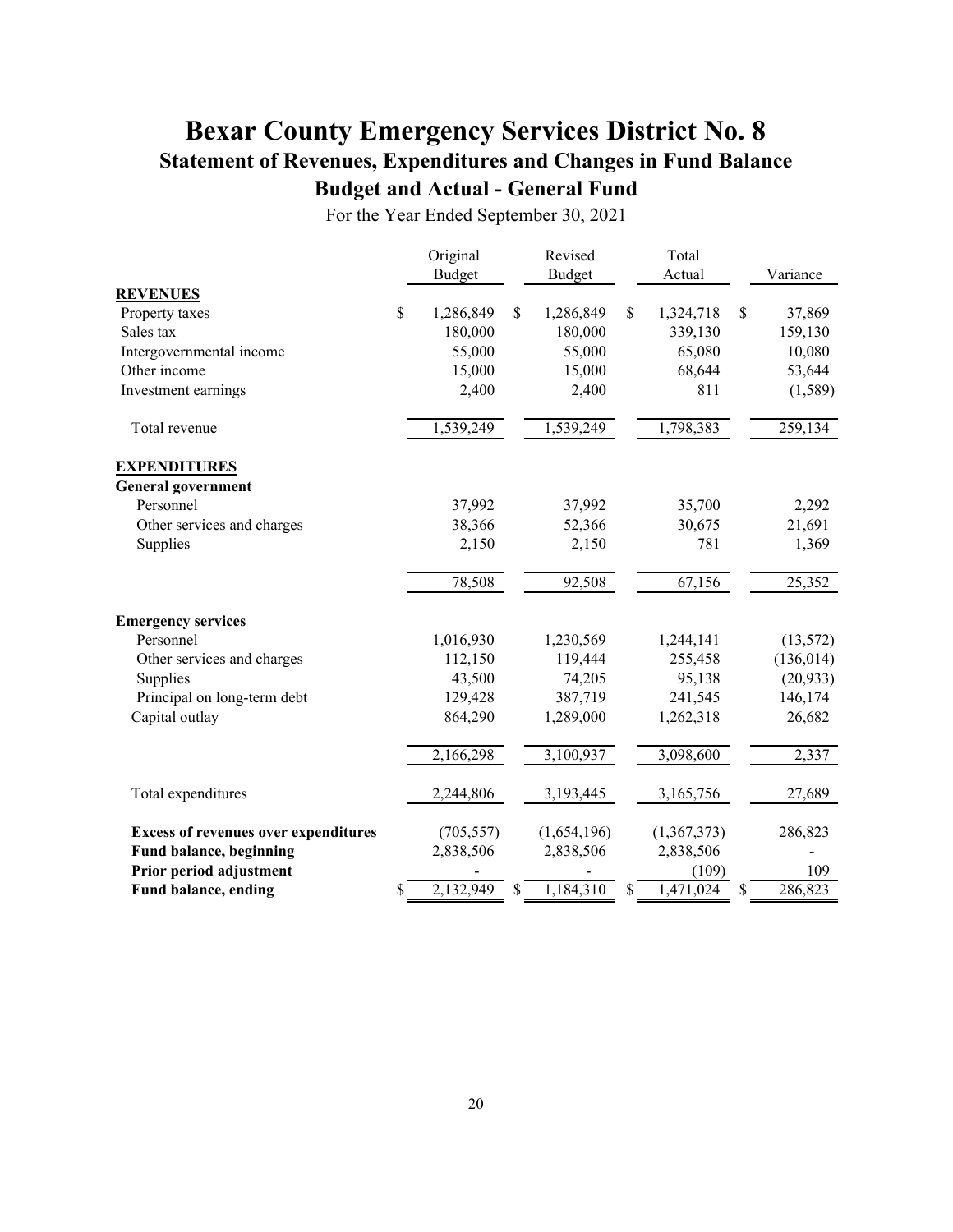# **Bexar County Emergency Services District No. 8 Statement of Revenues, Expenditures and Changes in Fund Balance Budget and Actual - General Fund**

For the Year Ended September 30, 2021

| <b>REVENUES</b>                             | Original<br><b>Budget</b> | Revised<br><b>Budget</b> | Total<br>Actual | Variance      |
|---------------------------------------------|---------------------------|--------------------------|-----------------|---------------|
| Property taxes                              | \$<br>1,286,849           | \$<br>1,286,849          | \$<br>1,324,718 | \$<br>37,869  |
| Sales tax                                   | 180,000                   | 180,000                  | 339,130         | 159,130       |
| Intergovernmental income                    | 55,000                    | 55,000                   | 65,080          | 10,080        |
| Other income                                | 15,000                    | 15,000                   | 68,644          | 53,644        |
| Investment earnings                         | 2,400                     | 2,400                    | 811             | (1,589)       |
| Total revenue                               | 1,539,249                 | 1,539,249                | 1,798,383       | 259,134       |
| <b>EXPENDITURES</b>                         |                           |                          |                 |               |
| <b>General government</b>                   |                           |                          |                 |               |
| Personnel                                   | 37,992                    | 37,992                   | 35,700          | 2,292         |
| Other services and charges                  | 38,366                    | 52,366                   | 30,675          | 21,691        |
| Supplies                                    | 2,150                     | 2,150                    | 781             | 1,369         |
|                                             | 78,508                    | 92,508                   | 67,156          | 25,352        |
| <b>Emergency services</b>                   |                           |                          |                 |               |
| Personnel                                   | 1,016,930                 | 1,230,569                | 1,244,141       | (13, 572)     |
| Other services and charges                  | 112,150                   | 119,444                  | 255,458         | (136, 014)    |
| Supplies                                    | 43,500                    | 74,205                   | 95,138          | (20, 933)     |
| Principal on long-term debt                 | 129,428                   | 387,719                  | 241,545         | 146,174       |
| Capital outlay                              | 864,290                   | 1,289,000                | 1,262,318       | 26,682        |
|                                             | 2,166,298                 | 3,100,937                | 3,098,600       | 2,337         |
| Total expenditures                          | 2,244,806                 | 3,193,445                | 3,165,756       | 27,689        |
| <b>Excess of revenues over expenditures</b> | (705, 557)                | (1,654,196)              | (1,367,373)     | 286,823       |
| Fund balance, beginning                     | 2,838,506                 | 2,838,506                | 2,838,506       |               |
| Prior period adjustment                     |                           |                          | (109)           | 109           |
| Fund balance, ending                        | \$<br>2,132,949           | \$<br>1,184,310          | \$<br>1,471,024 | \$<br>286,823 |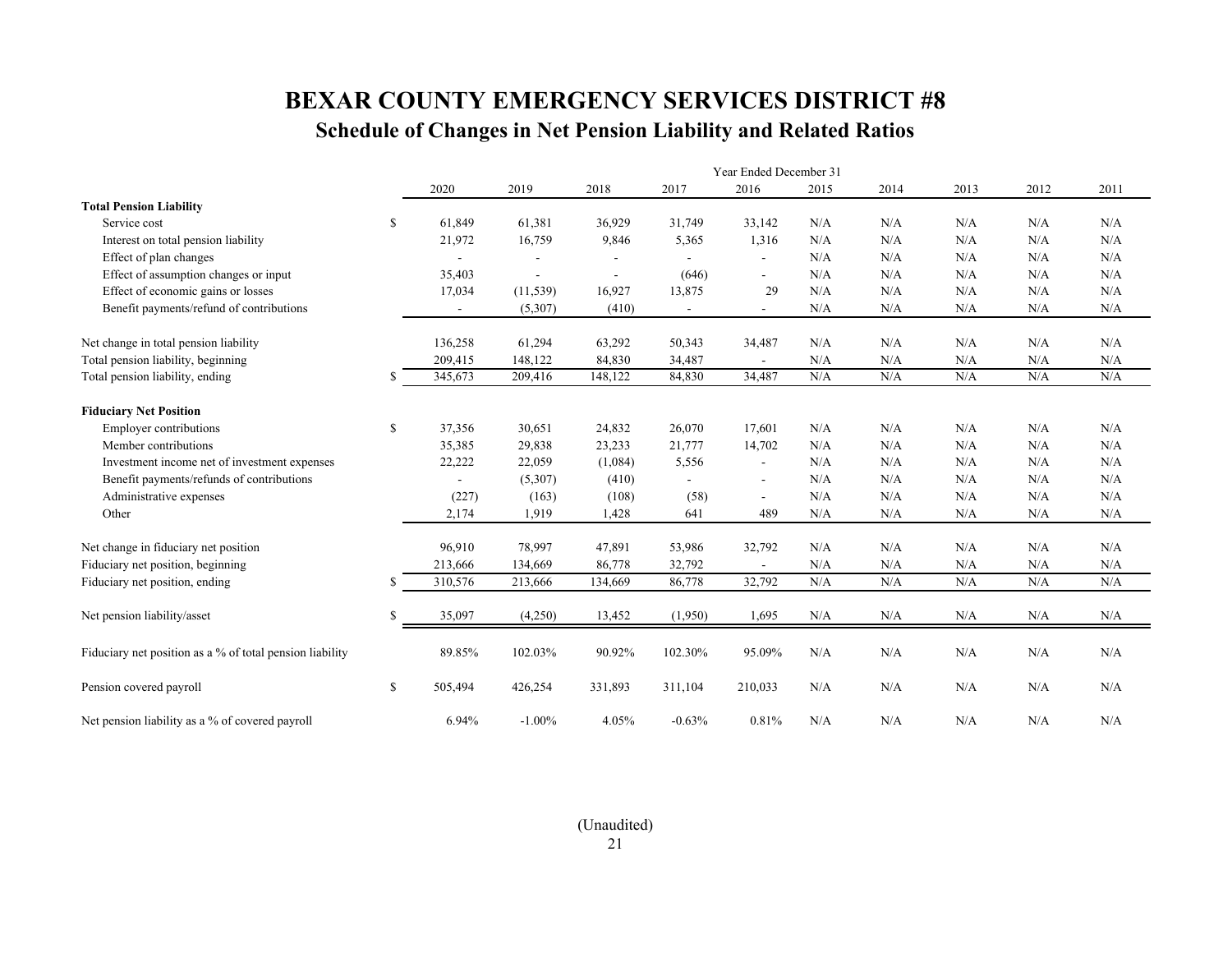# **BEXAR COUNTY EMERGENCY SERVICES DISTRICT #8 Schedule of Changes in Net Pension Liability and Related Ratios**

|                                                          |    | Year Ended December 31   |           |                          |                          |                          |      |      |      |      |      |
|----------------------------------------------------------|----|--------------------------|-----------|--------------------------|--------------------------|--------------------------|------|------|------|------|------|
|                                                          |    | 2020                     | 2019      | 2018                     | 2017                     | 2016                     | 2015 | 2014 | 2013 | 2012 | 2011 |
| <b>Total Pension Liability</b>                           |    |                          |           |                          |                          |                          |      |      |      |      |      |
| Service cost                                             | S  | 61,849                   | 61,381    | 36,929                   | 31,749                   | 33,142                   | N/A  | N/A  | N/A  | N/A  | N/A  |
| Interest on total pension liability                      |    | 21,972                   | 16,759    | 9,846                    | 5,365                    | 1,316                    | N/A  | N/A  | N/A  | N/A  | N/A  |
| Effect of plan changes                                   |    |                          |           | $\sim$                   |                          | $\blacksquare$           | N/A  | N/A  | N/A  | N/A  | N/A  |
| Effect of assumption changes or input                    |    | 35,403                   | $\sim$    | $\overline{\phantom{a}}$ | (646)                    | $\overline{\phantom{a}}$ | N/A  | N/A  | N/A  | N/A  | N/A  |
| Effect of economic gains or losses                       |    | 17,034                   | (11, 539) | 16,927                   | 13,875                   | 29                       | N/A  | N/A  | N/A  | N/A  | N/A  |
| Benefit payments/refund of contributions                 |    | $\overline{\phantom{a}}$ | (5,307)   | (410)                    | $\overline{\phantom{a}}$ | $\blacksquare$           | N/A  | N/A  | N/A  | N/A  | N/A  |
| Net change in total pension liability                    |    | 136,258                  | 61,294    | 63,292                   | 50,343                   | 34,487                   | N/A  | N/A  | N/A  | N/A  | N/A  |
| Total pension liability, beginning                       |    | 209,415                  | 148,122   | 84,830                   | 34,487                   | $\sim$                   | N/A  | N/A  | N/A  | N/A  | N/A  |
| Total pension liability, ending                          |    | 345,673                  | 209,416   | 148,122                  | 84,830                   | 34,487                   | N/A  | N/A  | N/A  | N/A  | N/A  |
| <b>Fiduciary Net Position</b>                            |    |                          |           |                          |                          |                          |      |      |      |      |      |
| <b>Employer contributions</b>                            | \$ | 37,356                   | 30,651    | 24,832                   | 26,070                   | 17,601                   | N/A  | N/A  | N/A  | N/A  | N/A  |
| Member contributions                                     |    | 35,385                   | 29,838    | 23,233                   | 21,777                   | 14,702                   | N/A  | N/A  | N/A  | N/A  | N/A  |
| Investment income net of investment expenses             |    | 22,222                   | 22,059    | (1,084)                  | 5,556                    | $\blacksquare$           | N/A  | N/A  | N/A  | N/A  | N/A  |
| Benefit payments/refunds of contributions                |    |                          | (5,307)   | (410)                    | $\blacksquare$           | $\sim$                   | N/A  | N/A  | N/A  | N/A  | N/A  |
| Administrative expenses                                  |    | (227)                    | (163)     | (108)                    | (58)                     | $\blacksquare$           | N/A  | N/A  | N/A  | N/A  | N/A  |
| Other                                                    |    | 2,174                    | 1,919     | 1,428                    | 641                      | 489                      | N/A  | N/A  | N/A  | N/A  | N/A  |
| Net change in fiduciary net position                     |    | 96,910                   | 78,997    | 47,891                   | 53,986                   | 32,792                   | N/A  | N/A  | N/A  | N/A  | N/A  |
| Fiduciary net position, beginning                        |    | 213,666                  | 134,669   | 86,778                   | 32,792                   | $\sim$                   | N/A  | N/A  | N/A  | N/A  | N/A  |
| Fiduciary net position, ending                           |    | 310,576                  | 213,666   | 134,669                  | 86,778                   | 32,792                   | N/A  | N/A  | N/A  | N/A  | N/A  |
| Net pension liability/asset                              |    | 35,097                   | (4,250)   | 13,452                   | (1,950)                  | 1,695                    | N/A  | N/A  | N/A  | N/A  | N/A  |
| Fiduciary net position as a % of total pension liability |    | 89.85%                   | 102.03%   | 90.92%                   | 102.30%                  | 95.09%                   | N/A  | N/A  | N/A  | N/A  | N/A  |
| Pension covered payroll                                  | \$ | 505,494                  | 426,254   | 331,893                  | 311,104                  | 210,033                  | N/A  | N/A  | N/A  | N/A  | N/A  |
| Net pension liability as a % of covered payroll          |    | 6.94%                    | $-1.00\%$ | 4.05%                    | $-0.63%$                 | 0.81%                    | N/A  | N/A  | N/A  | N/A  | N/A  |

(Unaudited)